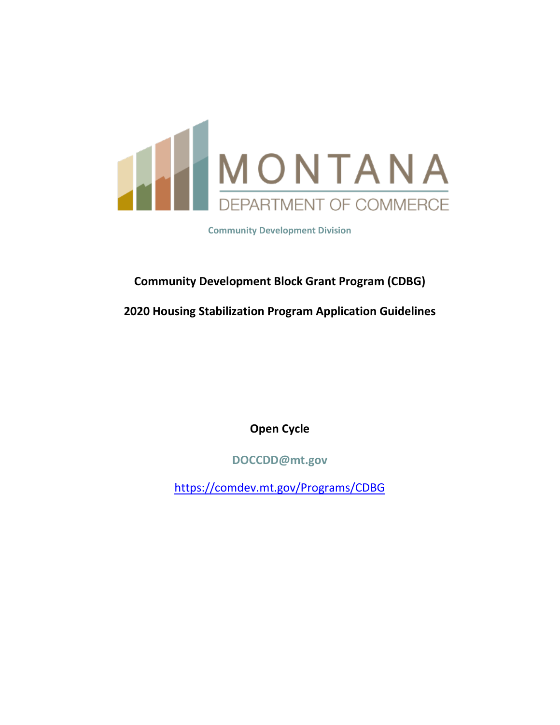

**Community Development Division**

# **Community Development Block Grant Program (CDBG)**

**2020 Housing Stabilization Program Application Guidelines**

**Open Cycle**

**DOCCDD@mt.gov**

<https://comdev.mt.gov/Programs/CDBG>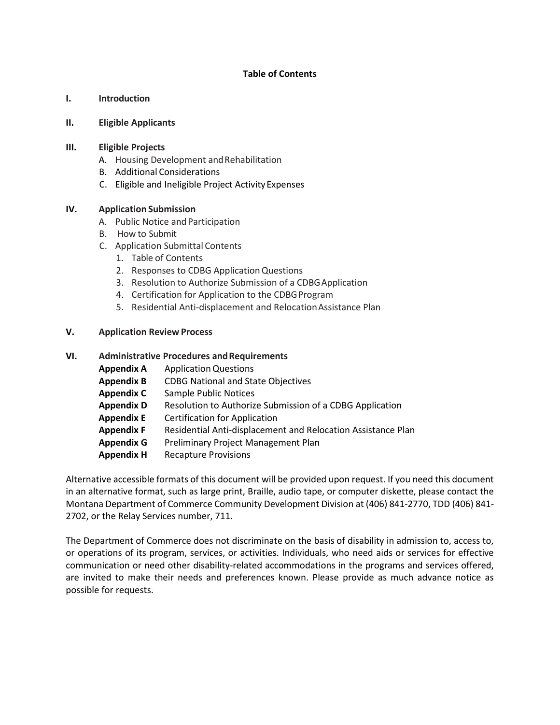#### **Table of Contents**

#### **I. Introduction**

#### **II. Eligible Applicants**

#### **III. Eligible Projects**

- A. Housing Development and Rehabilitation
- B. Additional Considerations
- C. Eligible and Ineligible Project ActivityExpenses

#### **IV. Application Submission**

- A. Public Notice and Participation
- B. How to Submit
- C. Application Submittal Contents
	- 1. Table of Contents
	- 2. Responses to CDBG ApplicationQuestions
	- 3. Resolution to Authorize Submission of a CDBGApplication
	- 4. Certification for Application to the CDBG Program
	- 5. Residential Anti-displacement and RelocationAssistance Plan

#### **V. Application Review Process**

#### **VI. Administrative Procedures andRequirements**

| <b>Appendix A</b> | <b>Application Questions</b>                                 |
|-------------------|--------------------------------------------------------------|
| <b>Appendix B</b> | <b>CDBG National and State Objectives</b>                    |
| <b>Appendix C</b> | <b>Sample Public Notices</b>                                 |
| <b>Appendix D</b> | Resolution to Authorize Submission of a CDBG Application     |
| <b>Appendix E</b> | <b>Certification for Application</b>                         |
| <b>Appendix F</b> | Residential Anti-displacement and Relocation Assistance Plan |
| <b>Appendix G</b> | Preliminary Project Management Plan                          |
| <b>Appendix H</b> | <b>Recapture Provisions</b>                                  |
|                   |                                                              |

Alternative accessible formats of this document will be provided upon request. If you need this document in an alternative format, such as large print, Braille, audio tape, or computer diskette, please contact the Montana Department of Commerce Community Development Division at (406) 841-2770, TDD (406) 841- 2702, or the Relay Services number, 711.

The Department of Commerce does not discriminate on the basis of disability in admission to, access to, or operations of its program, services, or activities. Individuals, who need aids or services for effective communication or need other disability-related accommodations in the programs and services offered, are invited to make their needs and preferences known. Please provide as much advance notice as possible for requests.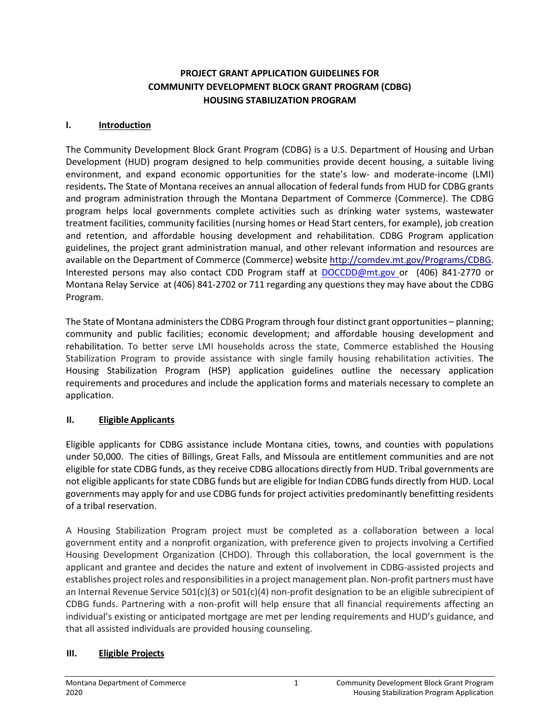### **PROJECT GRANT APPLICATION GUIDELINES FOR COMMUNITY DEVELOPMENT BLOCK GRANT PROGRAM (CDBG) HOUSING STABILIZATION PROGRAM**

#### **I. Introduction**

The Community Development Block Grant Program (CDBG) is a U.S. Department of Housing and Urban Development (HUD) program designed to help communities provide decent housing, a suitable living environment, and expand economic opportunities for the state's low- and moderate-income (LMI) residents**.** The State of Montana receives an annual allocation of federal funds from HUD for CDBG grants and program administration through the Montana Department of Commerce (Commerce). The CDBG program helps local governments complete activities such as drinking water systems, wastewater treatment facilities, community facilities (nursing homes or Head Start centers, for example), job creation and retention, and affordable housing development and rehabilitation. CDBG Program application guidelines, the project grant administration manual, and other relevant information and resources are available on the Department of Commerce (Commerce) websit[e http://comdev.mt.gov/Programs/CDBG.](http://comdev.mt.gov/Programs/CDBG) Interested persons may also contact CDD Program staff at [DOCCDD@mt.gov o](mailto:DOCCDD@mt.gov)r (406) 841-2770 or Montana Relay Service at (406) 841-2702 or 711 regarding any questions they may have about the CDBG Program.

The State of Montana administers the CDBG Program through four distinct grant opportunities – planning; community and public facilities; economic development; and affordable housing development and rehabilitation. To better serve LMI households across the state, Commerce established the Housing Stabilization Program to provide assistance with single family housing rehabilitation activities. The Housing Stabilization Program (HSP) application guidelines outline the necessary application requirements and procedures and include the application forms and materials necessary to complete an application.

### **II. Eligible Applicants**

Eligible applicants for CDBG assistance include Montana cities, towns, and counties with populations under 50,000. The cities of Billings, Great Falls, and Missoula are entitlement communities and are not eligible for state CDBG funds, as they receive CDBG allocations directly from HUD. Tribal governments are not eligible applicants for state CDBG funds but are eligible for Indian CDBG funds directly from HUD. Local governments may apply for and use CDBG funds for project activities predominantly benefitting residents of a tribal reservation.

A Housing Stabilization Program project must be completed as a collaboration between a local government entity and a nonprofit organization, with preference given to projects involving a Certified Housing Development Organization (CHDO). Through this collaboration, the local government is the applicant and grantee and decides the nature and extent of involvement in CDBG-assisted projects and establishes project roles and responsibilities in a project management plan. Non-profit partners must have an Internal Revenue Service 501(c)(3) or 501(c)(4) non-profit designation to be an eligible subrecipient of CDBG funds. Partnering with a non-profit will help ensure that all financial requirements affecting an individual's existing or anticipated mortgage are met per lending requirements and HUD's guidance, and that all assisted individuals are provided housing counseling.

### **III. Eligible Projects**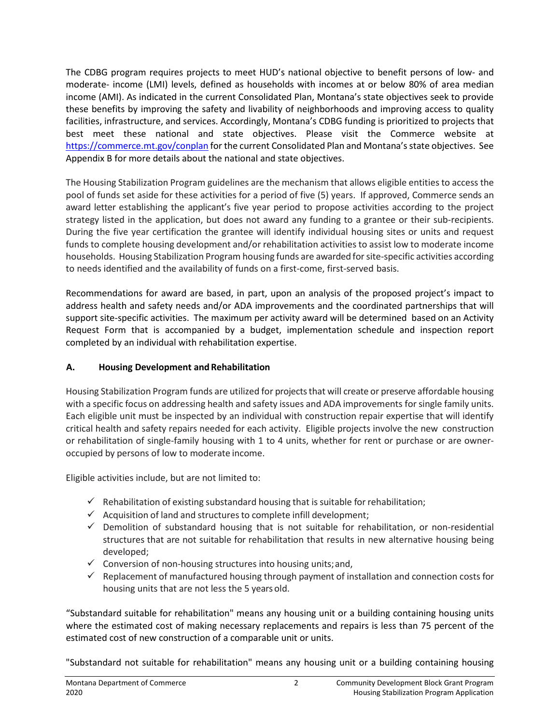The CDBG program requires projects to meet HUD's national objective to benefit persons of low- and moderate- income (LMI) levels, defined as households with incomes at or below 80% of area median income (AMI). As indicated in the current Consolidated Plan, Montana's state objectives seek to provide these benefits by improving the safety and livability of neighborhoods and improving access to quality facilities, infrastructure, and services. Accordingly, Montana's CDBG funding is prioritized to projects that best meet these national and state objectives. Please visit the Commerce website at <https://commerce.mt.gov/conplan> for the current Consolidated Plan and Montana's state objectives. See Appendix B for more details about the national and state objectives.

The Housing Stabilization Program guidelines are the mechanism that allows eligible entities to access the pool of funds set aside for these activities for a period of five (5) years. If approved, Commerce sends an award letter establishing the applicant's five year period to propose activities according to the project strategy listed in the application, but does not award any funding to a grantee or their sub-recipients. During the five year certification the grantee will identify individual housing sites or units and request funds to complete housing development and/or rehabilitation activities to assist low to moderate income households. Housing Stabilization Program housing funds are awarded for site-specific activities according to needs identified and the availability of funds on a first-come, first-served basis.

Recommendations for award are based, in part, upon an analysis of the proposed project's impact to address health and safety needs and/or ADA improvements and the coordinated partnerships that will support site-specific activities. The maximum per activity award will be determined based on an Activity Request Form that is accompanied by a budget, implementation schedule and inspection report completed by an individual with rehabilitation expertise.

### **A. Housing Development andRehabilitation**

Housing Stabilization Program funds are utilized for projects that will create or preserve affordable housing with a specific focus on addressing health and safety issues and ADA improvements for single family units. Each eligible unit must be inspected by an individual with construction repair expertise that will identify critical health and safety repairs needed for each activity. Eligible projects involve the new construction or rehabilitation of single-family housing with 1 to 4 units, whether for rent or purchase or are owneroccupied by persons of low to moderate income.

Eligible activities include, but are not limited to:

- $\checkmark$  Rehabilitation of existing substandard housing that is suitable for rehabilitation;
- $\checkmark$  Acquisition of land and structures to complete infill development;
- $\checkmark$  Demolition of substandard housing that is not suitable for rehabilitation, or non-residential structures that are not suitable for rehabilitation that results in new alternative housing being developed;
- $\checkmark$  Conversion of non-housing structures into housing units; and,
- $\checkmark$  Replacement of manufactured housing through payment of installation and connection costs for housing units that are not less the 5 years old.

"Substandard suitable for rehabilitation" means any housing unit or a building containing housing units where the estimated cost of making necessary replacements and repairs is less than 75 percent of the estimated cost of new construction of a comparable unit or units.

"Substandard not suitable for rehabilitation" means any housing unit or a building containing housing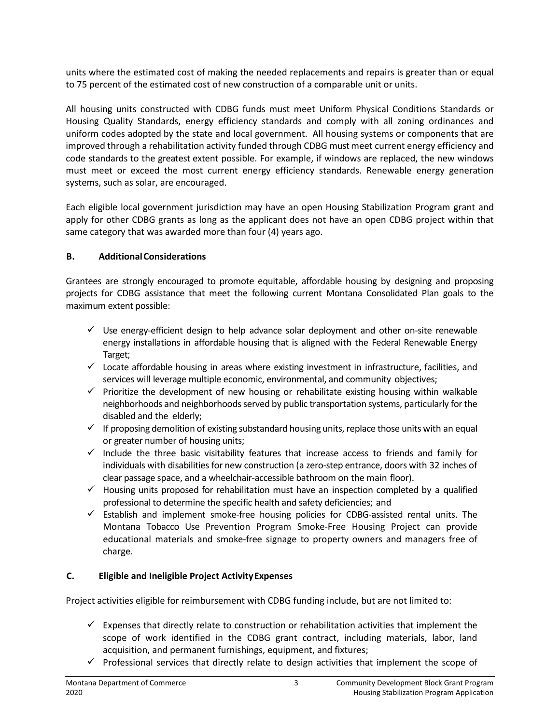units where the estimated cost of making the needed replacements and repairs is greater than or equal to 75 percent of the estimated cost of new construction of a comparable unit or units.

All housing units constructed with CDBG funds must meet Uniform Physical Conditions Standards or Housing Quality Standards, energy efficiency standards and comply with all zoning ordinances and uniform codes adopted by the state and local government. All housing systems or components that are improved through a rehabilitation activity funded through CDBG must meet current energy efficiency and code standards to the greatest extent possible. For example, if windows are replaced, the new windows must meet or exceed the most current energy efficiency standards. Renewable energy generation systems, such as solar, are encouraged.

Each eligible local government jurisdiction may have an open Housing Stabilization Program grant and apply for other CDBG grants as long as the applicant does not have an open CDBG project within that same category that was awarded more than four (4) years ago.

#### **B. AdditionalConsiderations**

Grantees are strongly encouraged to promote equitable, affordable housing by designing and proposing projects for CDBG assistance that meet the following current Montana Consolidated Plan goals to the maximum extent possible:

- $\checkmark$  Use energy-efficient design to help advance solar deployment and other on-site renewable energy installations in affordable housing that is aligned with the Federal Renewable Energy Target;
- $\checkmark$  Locate affordable housing in areas where existing investment in infrastructure, facilities, and services will leverage multiple economic, environmental, and community objectives;
- $\checkmark$  Prioritize the development of new housing or rehabilitate existing housing within walkable neighborhoods and neighborhoods served by public transportation systems, particularly for the disabled and the elderly;
- $\checkmark$  If proposing demolition of existing substandard housing units, replace those units with an equal or greater number of housing units;
- $\checkmark$  Include the three basic visitability features that increase access to friends and family for individuals with disabilities for new construction (a zero-step entrance, doors with 32 inches of clear passage space, and a wheelchair-accessible bathroom on the main floor).
- $\checkmark$  Housing units proposed for rehabilitation must have an inspection completed by a qualified professional to determine the specific health and safety deficiencies; and
- $\checkmark$  Establish and implement smoke-free housing policies for CDBG-assisted rental units. The Montana Tobacco Use Prevention Program Smoke-Free Housing Project can provide educational materials and smoke-free signage to property owners and managers free of charge.

#### **C. Eligible and Ineligible Project ActivityExpenses**

Project activities eligible for reimbursement with CDBG funding include, but are not limited to:

- $\checkmark$  Expenses that directly relate to construction or rehabilitation activities that implement the scope of work identified in the CDBG grant contract, including materials, labor, land acquisition, and permanent furnishings, equipment, and fixtures;
- $\checkmark$  Professional services that directly relate to design activities that implement the scope of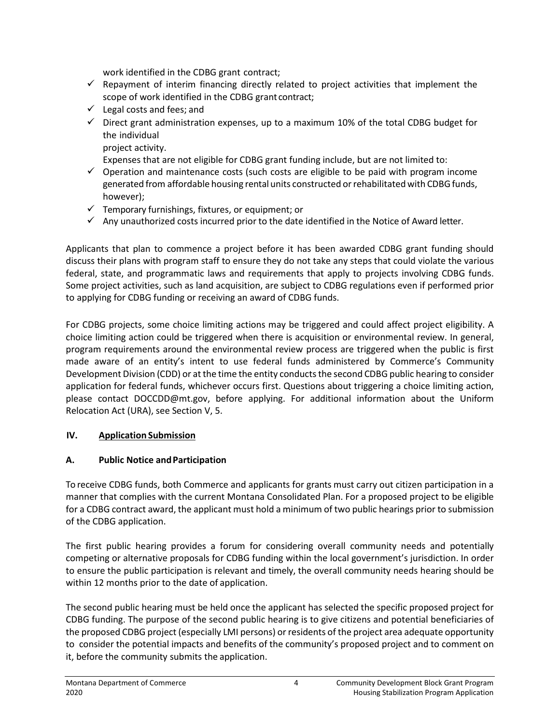work identified in the CDBG grant contract;

- $\checkmark$  Repayment of interim financing directly related to project activities that implement the scope of work identified in the CDBG grant contract;
- $\checkmark$  Legal costs and fees; and
- $\checkmark$  Direct grant administration expenses, up to a maximum 10% of the total CDBG budget for the individual

project activity.

Expenses that are not eligible for CDBG grant funding include, but are not limited to:

- $\checkmark$  Operation and maintenance costs (such costs are eligible to be paid with program income generated from affordable housing rental units constructed or rehabilitated with CDBG funds, however);
- $\checkmark$  Temporary furnishings, fixtures, or equipment; or
- $\checkmark$  Any unauthorized costs incurred prior to the date identified in the Notice of Award letter.

Applicants that plan to commence a project before it has been awarded CDBG grant funding should discuss their plans with program staff to ensure they do not take any steps that could violate the various federal, state, and programmatic laws and requirements that apply to projects involving CDBG funds. Some project activities, such as land acquisition, are subject to CDBG regulations even if performed prior to applying for CDBG funding or receiving an award of CDBG funds.

For CDBG projects, some choice limiting actions may be triggered and could affect project eligibility. A choice limiting action could be triggered when there is acquisition or environmental review. In general, program requirements around the environmental review process are triggered when the public is first made aware of an entity's intent to use federal funds administered by Commerce's Community Development Division (CDD) or at the time the entity conducts the second CDBG public hearing to consider application for federal funds, whichever occurs first. Questions about triggering a choice limiting action, please contact DOCCDD@mt.gov, before applying. For additional information about the Uniform Relocation Act (URA), see Section V, 5.

### **IV. Application Submission**

### **A. Public Notice andParticipation**

To receive CDBG funds, both Commerce and applicants for grants must carry out citizen participation in a manner that complies with the current Montana Consolidated Plan. For a proposed project to be eligible for a CDBG contract award, the applicant must hold a minimum of two public hearings prior to submission of the CDBG application.

The first public hearing provides a forum for considering overall community needs and potentially competing or alternative proposals for CDBG funding within the local government's jurisdiction. In order to ensure the public participation is relevant and timely, the overall community needs hearing should be within 12 months prior to the date of application.

The second public hearing must be held once the applicant has selected the specific proposed project for CDBG funding. The purpose of the second public hearing is to give citizens and potential beneficiaries of the proposed CDBG project (especially LMI persons) or residents of the project area adequate opportunity to consider the potential impacts and benefits of the community's proposed project and to comment on it, before the community submits the application.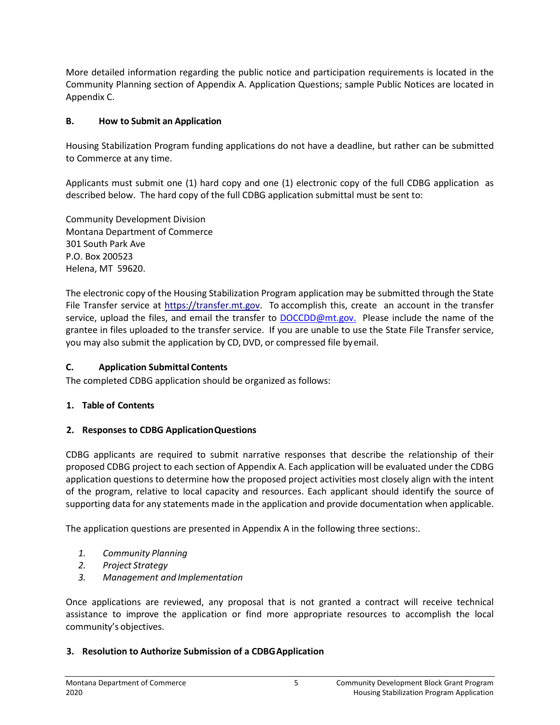More detailed information regarding the public notice and participation requirements is located in the Community Planning section of Appendix A. Application Questions; sample Public Notices are located in Appendix C.

### **B. How to Submit an Application**

Housing Stabilization Program funding applications do not have a deadline, but rather can be submitted to Commerce at any time.

Applicants must submit one (1) hard copy and one (1) electronic copy of the full CDBG application as described below. The hard copy of the full CDBG application submittal must be sent to:

Community Development Division Montana Department of Commerce 301 South Park Ave P.O. Box 200523 Helena, MT 59620.

The electronic copy of the Housing Stabilization Program application may be submitted through the State File Transfer service at [https://transfer.mt.gov.](https://transfer.mt.gov/) To accomplish this, create an account in the transfer service, upload the files, and email the transfer to [DOCCDD@mt.gov.](mailto:DOCCDD@mt.gov.) Please include the name of the grantee in files uploaded to the transfer service. If you are unable to use the State File Transfer service, you may also submit the application by CD, DVD, or compressed file byemail.

### **C. Application Submittal Contents**

The completed CDBG application should be organized as follows:

### **1. Table of Contents**

### **2. Responses to CDBG ApplicationQuestions**

CDBG applicants are required to submit narrative responses that describe the relationship of their proposed CDBG project to each section of Appendix A. Each application will be evaluated under the CDBG application questions to determine how the proposed project activities most closely align with the intent of the program, relative to local capacity and resources. Each applicant should identify the source of supporting data for any statements made in the application and provide documentation when applicable.

The application questions are presented in Appendix A in the following three sections:.

- *1. Community Planning*
- *2. Project Strategy*
- *3. Management and Implementation*

Once applications are reviewed, any proposal that is not granted a contract will receive technical assistance to improve the application or find more appropriate resources to accomplish the local community's objectives.

### **3. Resolution to Authorize Submission of a CDBGApplication**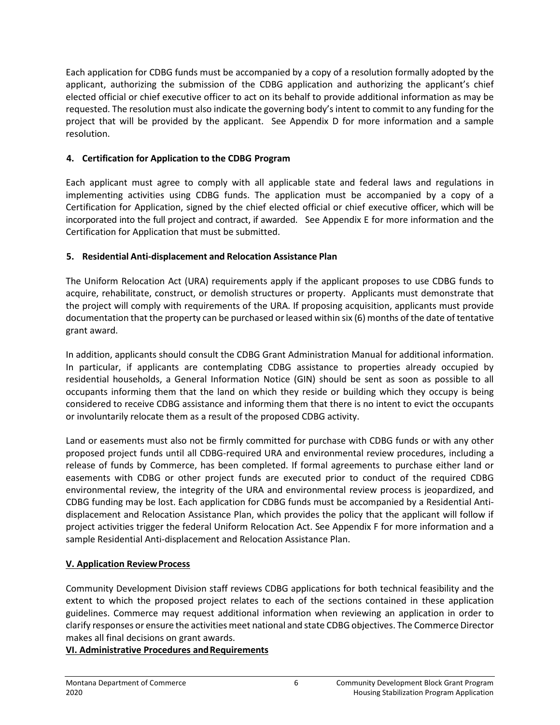Each application for CDBG funds must be accompanied by a copy of a resolution formally adopted by the applicant, authorizing the submission of the CDBG application and authorizing the applicant's chief elected official or chief executive officer to act on its behalf to provide additional information as may be requested. The resolution must also indicate the governing body's intent to commit to any funding for the project that will be provided by the applicant. See Appendix D for more information and a sample resolution.

### **4. Certification for Application to the CDBG Program**

Each applicant must agree to comply with all applicable state and federal laws and regulations in implementing activities using CDBG funds. The application must be accompanied by a copy of a Certification for Application, signed by the chief elected official or chief executive officer, which will be incorporated into the full project and contract, if awarded. See Appendix E for more information and the Certification for Application that must be submitted.

### **5. Residential Anti-displacement and Relocation Assistance Plan**

The Uniform Relocation Act (URA) requirements apply if the applicant proposes to use CDBG funds to acquire, rehabilitate, construct, or demolish structures or property. Applicants must demonstrate that the project will comply with requirements of the URA. If proposing acquisition, applicants must provide documentation that the property can be purchased or leased within six (6) months of the date of tentative grant award.

In addition, applicants should consult the CDBG Grant Administration Manual for additional information. In particular, if applicants are contemplating CDBG assistance to properties already occupied by residential households, a General Information Notice (GIN) should be sent as soon as possible to all occupants informing them that the land on which they reside or building which they occupy is being considered to receive CDBG assistance and informing them that there is no intent to evict the occupants or involuntarily relocate them as a result of the proposed CDBG activity.

Land or easements must also not be firmly committed for purchase with CDBG funds or with any other proposed project funds until all CDBG-required URA and environmental review procedures, including a release of funds by Commerce, has been completed. If formal agreements to purchase either land or easements with CDBG or other project funds are executed prior to conduct of the required CDBG environmental review, the integrity of the URA and environmental review process is jeopardized, and CDBG funding may be lost. Each application for CDBG funds must be accompanied by a Residential Antidisplacement and Relocation Assistance Plan, which provides the policy that the applicant will follow if project activities trigger the federal Uniform Relocation Act. See Appendix F for more information and a sample Residential Anti-displacement and Relocation Assistance Plan.

### **V. Application ReviewProcess**

Community Development Division staff reviews CDBG applications for both technical feasibility and the extent to which the proposed project relates to each of the sections contained in these application guidelines. Commerce may request additional information when reviewing an application in order to clarify responses or ensure the activities meet national and state CDBG objectives. The Commerce Director makes all final decisions on grant awards.

### **VI. Administrative Procedures and Requirements**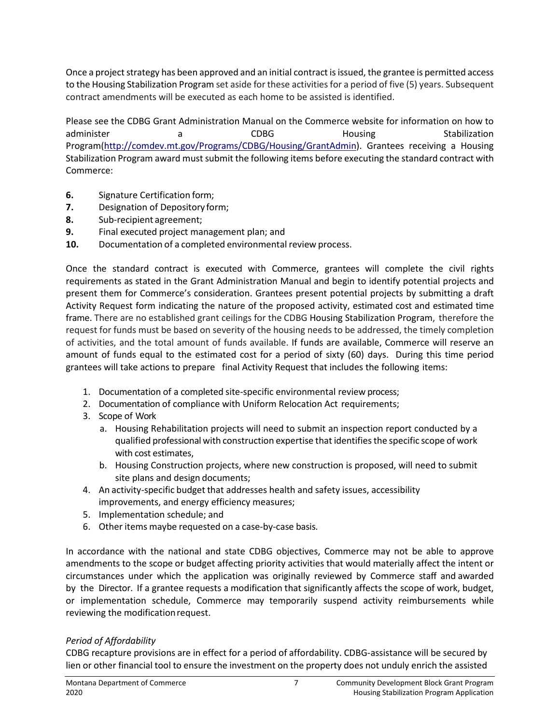Once a project strategy has been approved and an initial contract is issued, the grantee is permitted access to the Housing Stabilization Program set aside for these activities for a period of five (5) years. Subsequent contract amendments will be executed as each home to be assisted is identified.

Please see the CDBG Grant Administration Manual on the Commerce website for information on how to administer a a CDBG Housing Stabilization Progra[m\(http://comdev.mt.gov/Programs/CDBG/Housing/GrantAdmin\)](http://comdev.mt.gov/Programs/CDBG/Housing/GrantAdmin). Grantees receiving a Housing Stabilization Program award must submit the following items before executing the standard contract with Commerce:

- **6.** Signature Certification form;
- **7.** Designation of Depository form;
- **8.** Sub-recipient agreement;
- **9.** Final executed project management plan; and
- **10.** Documentation of a completed environmental review process.

Once the standard contract is executed with Commerce, grantees will complete the civil rights requirements as stated in the Grant Administration Manual and begin to identify potential projects and present them for Commerce's consideration. Grantees present potential projects by submitting a draft Activity Request form indicating the nature of the proposed activity, estimated cost and estimated time frame. There are no established grant ceilings for the CDBG Housing Stabilization Program, therefore the request for funds must be based on severity of the housing needs to be addressed, the timely completion of activities, and the total amount of funds available. If funds are available, Commerce will reserve an amount of funds equal to the estimated cost for a period of sixty (60) days. During this time period grantees will take actions to prepare final Activity Request that includes the following items:

- 1. Documentation of a completed site-specific environmental review process;
- 2. Documentation of compliance with Uniform Relocation Act requirements;
- 3. Scope of Work
	- a. Housing Rehabilitation projects will need to submit an inspection report conducted by a qualified professional with construction expertise that identifies the specific scope of work with cost estimates,
	- b. Housing Construction projects, where new construction is proposed, will need to submit site plans and design documents;
- 4. An activity-specific budget that addresses health and safety issues, accessibility improvements, and energy efficiency measures;
- 5. Implementation schedule; and
- 6. Other items maybe requested on a case-by-case basis.

In accordance with the national and state CDBG objectives, Commerce may not be able to approve amendments to the scope or budget affecting priority activities that would materially affect the intent or circumstances under which the application was originally reviewed by Commerce staff and awarded by the Director. If a grantee requests a modification that significantly affects the scope of work, budget, or implementation schedule, Commerce may temporarily suspend activity reimbursements while reviewing the modification request.

### *Period of Affordability*

CDBG recapture provisions are in effect for a period of affordability. CDBG-assistance will be secured by lien or other financial tool to ensure the investment on the property does not unduly enrich the assisted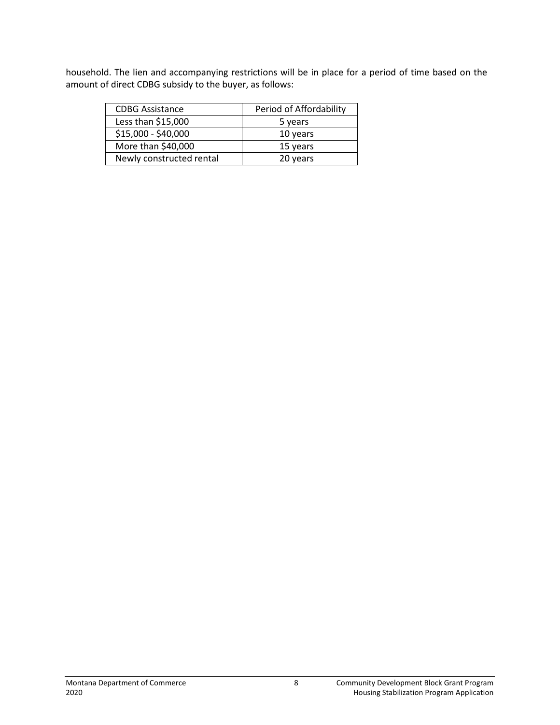household. The lien and accompanying restrictions will be in place for a period of time based on the amount of direct CDBG subsidy to the buyer, as follows:

| <b>CDBG Assistance</b>   | Period of Affordability |
|--------------------------|-------------------------|
| Less than \$15,000       | 5 years                 |
| \$15,000 - \$40,000      | 10 years                |
| More than \$40,000       | 15 years                |
| Newly constructed rental | 20 years                |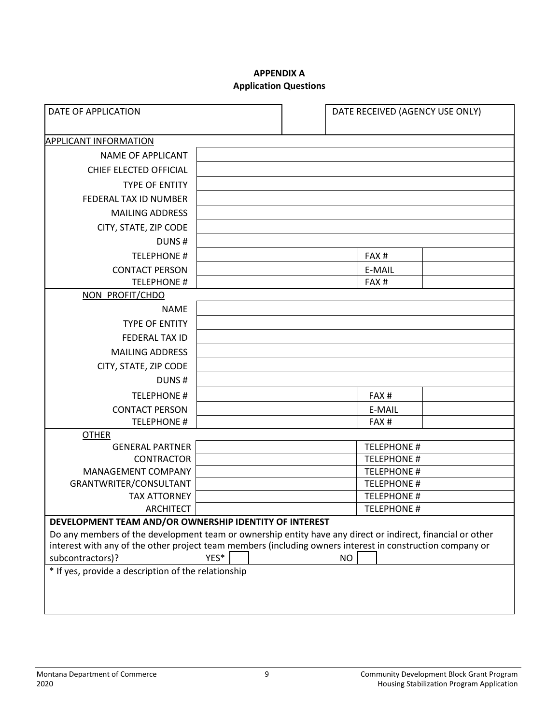#### **APPENDIX A Application Questions**

| DATE OF APPLICATION                                                                                                                                                                                                                                                                                                             |  | DATE RECEIVED (AGENCY USE ONLY)        |  |  |
|---------------------------------------------------------------------------------------------------------------------------------------------------------------------------------------------------------------------------------------------------------------------------------------------------------------------------------|--|----------------------------------------|--|--|
| <b>APPLICANT INFORMATION</b>                                                                                                                                                                                                                                                                                                    |  |                                        |  |  |
| <b>NAME OF APPLICANT</b>                                                                                                                                                                                                                                                                                                        |  |                                        |  |  |
|                                                                                                                                                                                                                                                                                                                                 |  |                                        |  |  |
| CHIEF ELECTED OFFICIAL                                                                                                                                                                                                                                                                                                          |  |                                        |  |  |
| <b>TYPE OF ENTITY</b>                                                                                                                                                                                                                                                                                                           |  |                                        |  |  |
| FEDERAL TAX ID NUMBER                                                                                                                                                                                                                                                                                                           |  |                                        |  |  |
| <b>MAILING ADDRESS</b>                                                                                                                                                                                                                                                                                                          |  |                                        |  |  |
| CITY, STATE, ZIP CODE                                                                                                                                                                                                                                                                                                           |  |                                        |  |  |
| DUNS#                                                                                                                                                                                                                                                                                                                           |  |                                        |  |  |
| <b>TELEPHONE #</b>                                                                                                                                                                                                                                                                                                              |  | FAX#                                   |  |  |
| <b>CONTACT PERSON</b>                                                                                                                                                                                                                                                                                                           |  | E-MAIL                                 |  |  |
| <b>TELEPHONE #</b>                                                                                                                                                                                                                                                                                                              |  | FAX <sub>#</sub>                       |  |  |
| NON PROFIT/CHDO                                                                                                                                                                                                                                                                                                                 |  |                                        |  |  |
| <b>NAME</b>                                                                                                                                                                                                                                                                                                                     |  |                                        |  |  |
| <b>TYPE OF ENTITY</b>                                                                                                                                                                                                                                                                                                           |  |                                        |  |  |
| FEDERAL TAX ID                                                                                                                                                                                                                                                                                                                  |  |                                        |  |  |
| <b>MAILING ADDRESS</b>                                                                                                                                                                                                                                                                                                          |  |                                        |  |  |
| CITY, STATE, ZIP CODE                                                                                                                                                                                                                                                                                                           |  |                                        |  |  |
| DUNS#                                                                                                                                                                                                                                                                                                                           |  |                                        |  |  |
| <b>TELEPHONE #</b>                                                                                                                                                                                                                                                                                                              |  | FAX#                                   |  |  |
| <b>CONTACT PERSON</b>                                                                                                                                                                                                                                                                                                           |  | E-MAIL                                 |  |  |
| <b>TELEPHONE #</b>                                                                                                                                                                                                                                                                                                              |  | FAX#                                   |  |  |
| <b>OTHER</b>                                                                                                                                                                                                                                                                                                                    |  |                                        |  |  |
| <b>GENERAL PARTNER</b>                                                                                                                                                                                                                                                                                                          |  | <b>TELEPHONE #</b>                     |  |  |
| <b>CONTRACTOR</b>                                                                                                                                                                                                                                                                                                               |  | <b>TELEPHONE#</b>                      |  |  |
| <b>MANAGEMENT COMPANY</b>                                                                                                                                                                                                                                                                                                       |  | <b>TELEPHONE #</b>                     |  |  |
| GRANTWRITER/CONSULTANT                                                                                                                                                                                                                                                                                                          |  | <b>TELEPHONE #</b>                     |  |  |
| <b>TAX ATTORNEY</b><br><b>ARCHITECT</b>                                                                                                                                                                                                                                                                                         |  | <b>TELEPHONE#</b><br><b>TELEPHONE#</b> |  |  |
|                                                                                                                                                                                                                                                                                                                                 |  |                                        |  |  |
| DEVELOPMENT TEAM AND/OR OWNERSHIP IDENTITY OF INTEREST<br>Do any members of the development team or ownership entity have any direct or indirect, financial or other<br>interest with any of the other project team members (including owners interest in construction company or<br>YES*<br>N <sub>O</sub><br>subcontractors)? |  |                                        |  |  |
| * If yes, provide a description of the relationship                                                                                                                                                                                                                                                                             |  |                                        |  |  |
|                                                                                                                                                                                                                                                                                                                                 |  |                                        |  |  |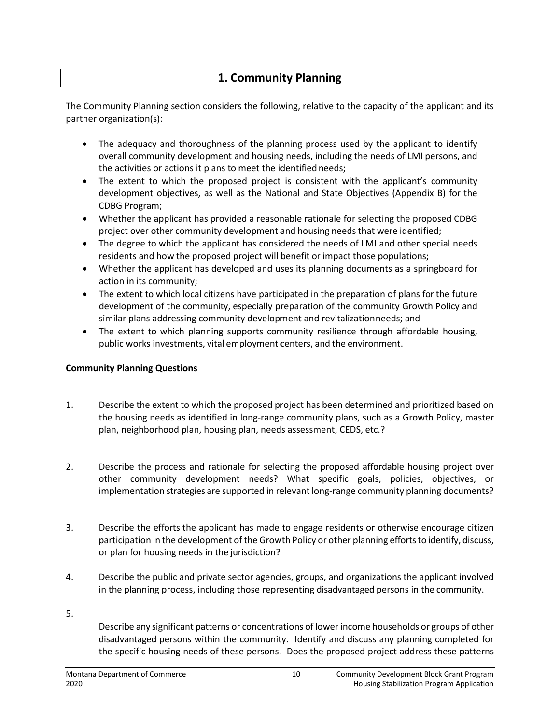# **1. Community Planning**

The Community Planning section considers the following, relative to the capacity of the applicant and its partner organization(s):

- The adequacy and thoroughness of the planning process used by the applicant to identify overall community development and housing needs, including the needs of LMI persons, and the activities or actions it plans to meet the identified needs;
- The extent to which the proposed project is consistent with the applicant's community development objectives, as well as the National and State Objectives (Appendix B) for the CDBG Program;
- Whether the applicant has provided a reasonable rationale for selecting the proposed CDBG project over other community development and housing needs that were identified;
- The degree to which the applicant has considered the needs of LMI and other special needs residents and how the proposed project will benefit or impact those populations;
- Whether the applicant has developed and uses its planning documents as a springboard for action in its community;
- The extent to which local citizens have participated in the preparation of plans for the future development of the community, especially preparation of the community Growth Policy and similar plans addressing community development and revitalizationneeds; and
- The extent to which planning supports community resilience through affordable housing, public works investments, vital employment centers, and the environment.

### **Community Planning Questions**

- 1. Describe the extent to which the proposed project has been determined and prioritized based on the housing needs as identified in long-range community plans, such as a Growth Policy, master plan, neighborhood plan, housing plan, needs assessment, CEDS, etc.?
- 2. Describe the process and rationale for selecting the proposed affordable housing project over other community development needs? What specific goals, policies, objectives, or implementation strategies are supported in relevant long-range community planning documents?
- 3. Describe the efforts the applicant has made to engage residents or otherwise encourage citizen participation in the development of the Growth Policy or other planning efforts to identify, discuss, or plan for housing needs in the jurisdiction?
- 4. Describe the public and private sector agencies, groups, and organizations the applicant involved in the planning process, including those representing disadvantaged persons in the community.
- 5.

Describe any significant patterns or concentrations of lower income households or groups of other disadvantaged persons within the community. Identify and discuss any planning completed for the specific housing needs of these persons. Does the proposed project address these patterns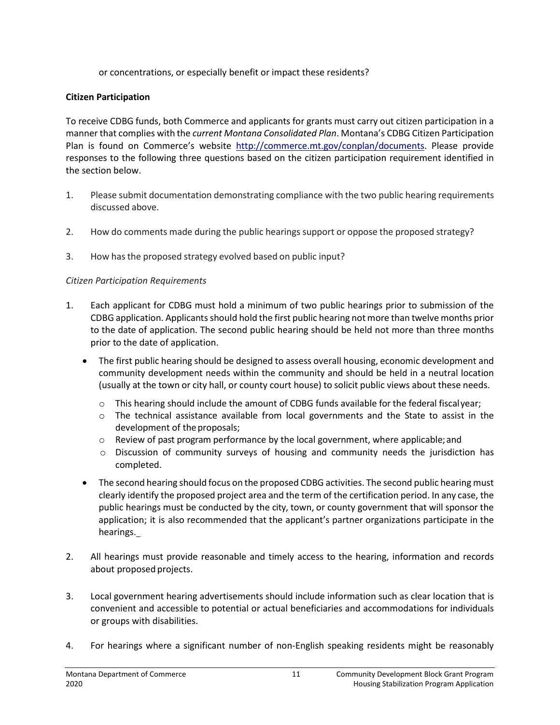or concentrations, or especially benefit or impact these residents?

#### **Citizen Participation**

To receive CDBG funds, both Commerce and applicants for grants must carry out citizen participation in a manner that complies with the *current Montana Consolidated Plan*. Montana's CDBG Citizen Participation Plan is found on Commerce's website [http://commerce.mt.gov/conplan/documents.](http://commerce.mt.gov/conplan/documents) Please provide responses to the following three questions based on the citizen participation requirement identified in the section below.

- 1. Please submit documentation demonstrating compliance with the two public hearing requirements discussed above.
- 2. How do comments made during the public hearings support or oppose the proposed strategy?
- 3. How has the proposed strategy evolved based on public input?

### *Citizen Participation Requirements*

- 1. Each applicant for CDBG must hold a minimum of two public hearings prior to submission of the CDBG application. Applicants should hold the first public hearing not more than twelve months prior to the date of application. The second public hearing should be held not more than three months prior to the date of application.
	- The first public hearing should be designed to assess overall housing, economic development and community development needs within the community and should be held in a neutral location (usually at the town or city hall, or county court house) to solicit public views about these needs.
		- $\circ$  This hearing should include the amount of CDBG funds available for the federal fiscalyear;
		- $\circ$  The technical assistance available from local governments and the State to assist in the development of the proposals;
		- $\circ$  Review of past program performance by the local government, where applicable; and
		- o Discussion of community surveys of housing and community needs the jurisdiction has completed.
	- The second hearing should focus on the proposed CDBG activities. The second public hearing must clearly identify the proposed project area and the term of the certification period. In any case, the public hearings must be conducted by the city, town, or county government that will sponsor the application; it is also recommended that the applicant's partner organizations participate in the hearings.
- 2. All hearings must provide reasonable and timely access to the hearing, information and records about proposed projects.
- 3. Local government hearing advertisements should include information such as clear location that is convenient and accessible to potential or actual beneficiaries and accommodations for individuals or groups with disabilities.
- 4. For hearings where a significant number of non-English speaking residents might be reasonably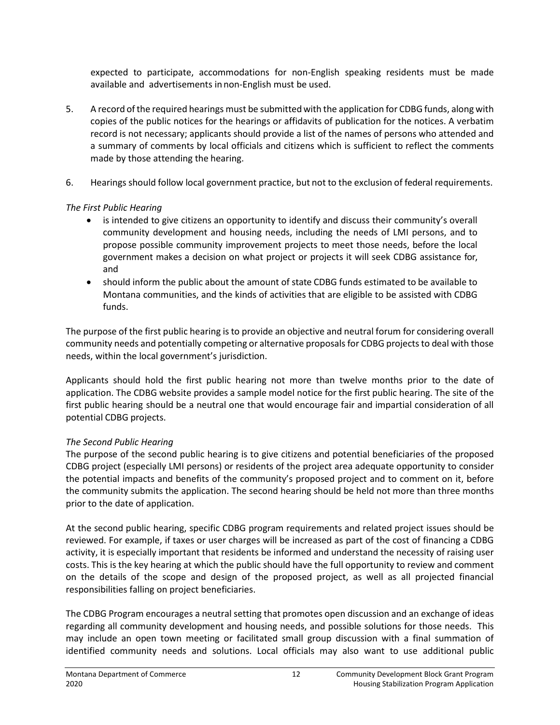expected to participate, accommodations for non-English speaking residents must be made available and advertisements innon-English must be used.

- 5. A record ofthe required hearings must be submitted with the application for CDBG funds, along with copies of the public notices for the hearings or affidavits of publication for the notices. A verbatim record is not necessary; applicants should provide a list of the names of persons who attended and a summary of comments by local officials and citizens which is sufficient to reflect the comments made by those attending the hearing.
- 6. Hearings should follow local government practice, but not to the exclusion of federal requirements.

### *The First Public Hearing*

- is intended to give citizens an opportunity to identify and discuss their community's overall community development and housing needs, including the needs of LMI persons, and to propose possible community improvement projects to meet those needs, before the local government makes a decision on what project or projects it will seek CDBG assistance for, and
- should inform the public about the amount of state CDBG funds estimated to be available to Montana communities, and the kinds of activities that are eligible to be assisted with CDBG funds.

The purpose of the first public hearing is to provide an objective and neutral forum for considering overall community needs and potentially competing or alternative proposals for CDBG projects to deal with those needs, within the local government's jurisdiction.

Applicants should hold the first public hearing not more than twelve months prior to the date of application. The CDBG website provides a sample model notice for the first public hearing. The site of the first public hearing should be a neutral one that would encourage fair and impartial consideration of all potential CDBG projects.

### *The Second Public Hearing*

The purpose of the second public hearing is to give citizens and potential beneficiaries of the proposed CDBG project (especially LMI persons) or residents of the project area adequate opportunity to consider the potential impacts and benefits of the community's proposed project and to comment on it, before the community submits the application. The second hearing should be held not more than three months prior to the date of application.

At the second public hearing, specific CDBG program requirements and related project issues should be reviewed. For example, if taxes or user charges will be increased as part of the cost of financing a CDBG activity, it is especially important that residents be informed and understand the necessity of raising user costs. This is the key hearing at which the public should have the full opportunity to review and comment on the details of the scope and design of the proposed project, as well as all projected financial responsibilities falling on project beneficiaries.

The CDBG Program encourages a neutral setting that promotes open discussion and an exchange of ideas regarding all community development and housing needs, and possible solutions for those needs. This may include an open town meeting or facilitated small group discussion with a final summation of identified community needs and solutions. Local officials may also want to use additional public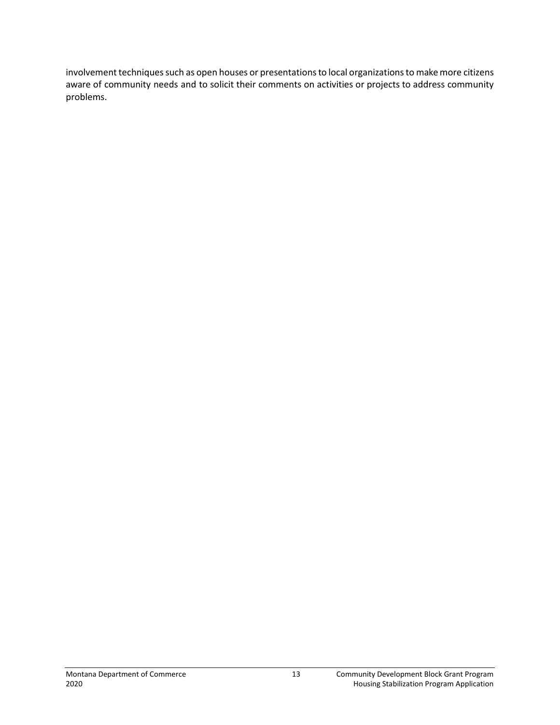involvement techniques such as open houses or presentations to local organizations to make more citizens aware of community needs and to solicit their comments on activities or projects to address community problems.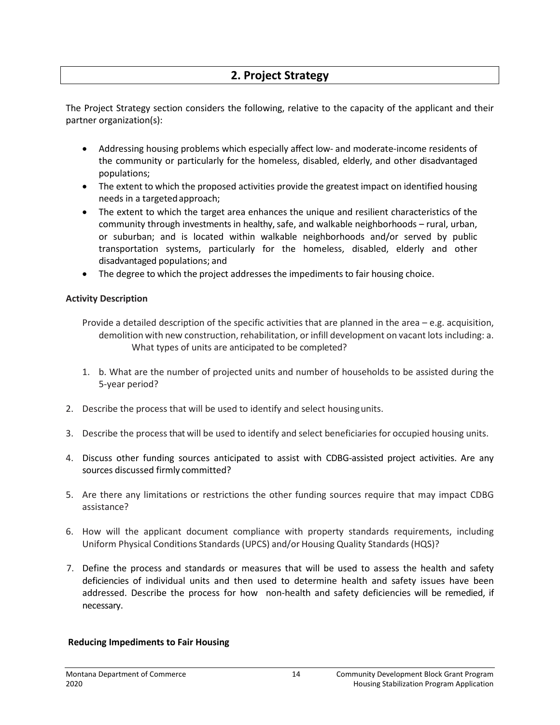# **2. Project Strategy**

The Project Strategy section considers the following, relative to the capacity of the applicant and their partner organization(s):

- Addressing housing problems which especially affect low- and moderate-income residents of the community or particularly for the homeless, disabled, elderly, and other disadvantaged populations;
- The extent to which the proposed activities provide the greatest impact on identified housing needs in a targetedapproach;
- The extent to which the target area enhances the unique and resilient characteristics of the community through investments in healthy, safe, and walkable neighborhoods – rural, urban, or suburban; and is located within walkable neighborhoods and/or served by public transportation systems, particularly for the homeless, disabled, elderly and other disadvantaged populations; and
- The degree to which the project addresses the impediments to fair housing choice.

#### **Activity Description**

Provide a detailed description of the specific activities that are planned in the area  $-e.g.$  acquisition, demolition with new construction, rehabilitation, or infill development on vacant lots including: a. What types of units are anticipated to be completed?

- 1. b. What are the number of projected units and number of households to be assisted during the 5-year period?
- 2. Describe the process that will be used to identify and select housingunits.
- 3. Describe the process that will be used to identify and select beneficiaries for occupied housing units.
- 4. Discuss other funding sources anticipated to assist with CDBG-assisted project activities. Are any sources discussed firmly committed?
- 5. Are there any limitations or restrictions the other funding sources require that may impact CDBG assistance?
- 6. How will the applicant document compliance with property standards requirements, including Uniform Physical Conditions Standards (UPCS) and/or Housing Quality Standards (HQS)?
- 7. Define the process and standards or measures that will be used to assess the health and safety deficiencies of individual units and then used to determine health and safety issues have been addressed. Describe the process for how non-health and safety deficiencies will be remedied, if necessary.

#### **Reducing Impediments to Fair Housing**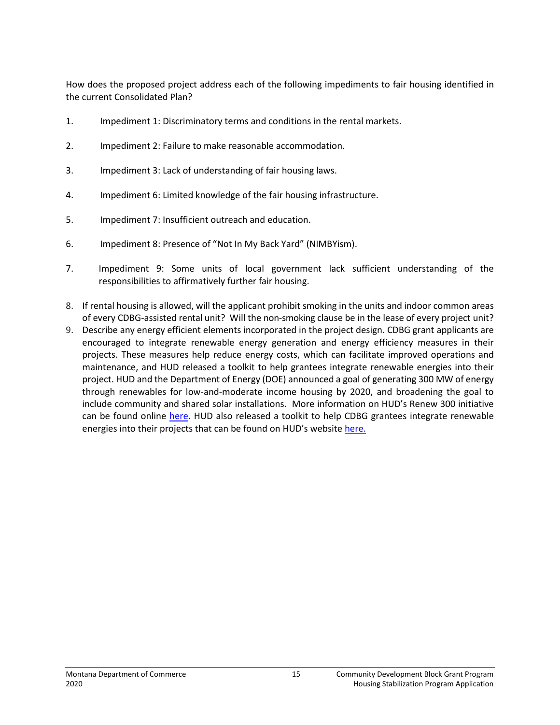How does the proposed project address each of the following impediments to fair housing identified in the current Consolidated Plan?

- 1. Impediment 1: Discriminatory terms and conditions in the rental markets.
- 2. Impediment 2: Failure to make reasonable accommodation.
- 3. Impediment 3: Lack of understanding of fair housing laws.
- 4. Impediment 6: Limited knowledge of the fair housing infrastructure.
- 5. Impediment 7: Insufficient outreach and education.
- 6. Impediment 8: Presence of "Not In My Back Yard" (NIMBYism).
- 7. Impediment 9: Some units of local government lack sufficient understanding of the responsibilities to affirmatively further fair housing.
- 8. If rental housing is allowed, will the applicant prohibit smoking in the units and indoor common areas of every CDBG-assisted rental unit? Will the non-smoking clause be in the lease of every project unit?
- 9. Describe any energy efficient elements incorporated in the project design. CDBG grant applicants are encouraged to integrate renewable energy generation and energy efficiency measures in their projects. These measures help reduce energy costs, which can facilitate improved operations and maintenance, and HUD released a toolkit to help grantees integrate renewable energies into their project. HUD and the Department of Energy (DOE) announced a goal of generating 300 MW of energy through renewables for low-and-moderate income housing by 2020, and broadening the goal to include community and shared solar installations. More information on HUD's Renew 300 initiative can be found online [here.](https://www.hudexchange.info/programs/renewable-energy/) HUD also released a toolkit to help CDBG grantees integrate renewable energies into their projects that can be found on HUD's website [here.](https://www.hudexchange.info/resource/5115/renewable-energy-toolkit/?utm_source=HUD+Exchange+Mailing+List&utm_campaign=a25c80d2f8-Renewable_Energy_Toolkit&utm_medium=email&utm_term=0_f32b935a5f-a25c80d2f8-18471621)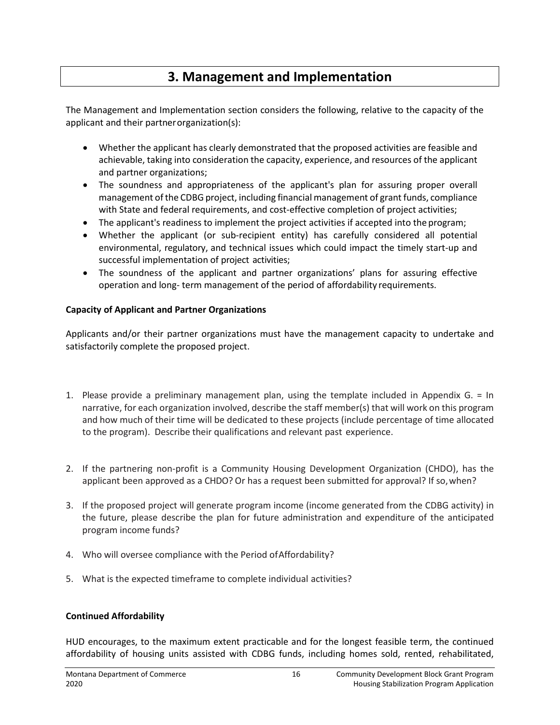# **3. Management and Implementation**

The Management and Implementation section considers the following, relative to the capacity of the applicant and their partnerorganization(s):

- Whether the applicant has clearly demonstrated that the proposed activities are feasible and achievable, taking into consideration the capacity, experience, and resources of the applicant and partner organizations;
- The soundness and appropriateness of the applicant's plan for assuring proper overall management of the CDBG project, including financial management of grant funds, compliance with State and federal requirements, and cost-effective completion of project activities;
- The applicant's readiness to implement the project activities if accepted into the program;
- Whether the applicant (or sub-recipient entity) has carefully considered all potential environmental, regulatory, and technical issues which could impact the timely start-up and successful implementation of project activities;
- The soundness of the applicant and partner organizations' plans for assuring effective operation and long- term management of the period of affordability requirements.

### **Capacity of Applicant and Partner Organizations**

Applicants and/or their partner organizations must have the management capacity to undertake and satisfactorily complete the proposed project.

- 1. Please provide a preliminary management plan, using the template included in Appendix G. = In narrative, for each organization involved, describe the staff member(s) that will work on this program and how much of their time will be dedicated to these projects (include percentage of time allocated to the program). Describe their qualifications and relevant past experience.
- 2. If the partnering non-profit is a Community Housing Development Organization (CHDO), has the applicant been approved as a CHDO? Or has a request been submitted for approval? If so, when?
- 3. If the proposed project will generate program income (income generated from the CDBG activity) in the future, please describe the plan for future administration and expenditure of the anticipated program income funds?
- 4. Who will oversee compliance with the Period ofAffordability?
- 5. What is the expected timeframe to complete individual activities?

### **Continued Affordability**

HUD encourages, to the maximum extent practicable and for the longest feasible term, the continued affordability of housing units assisted with CDBG funds, including homes sold, rented, rehabilitated,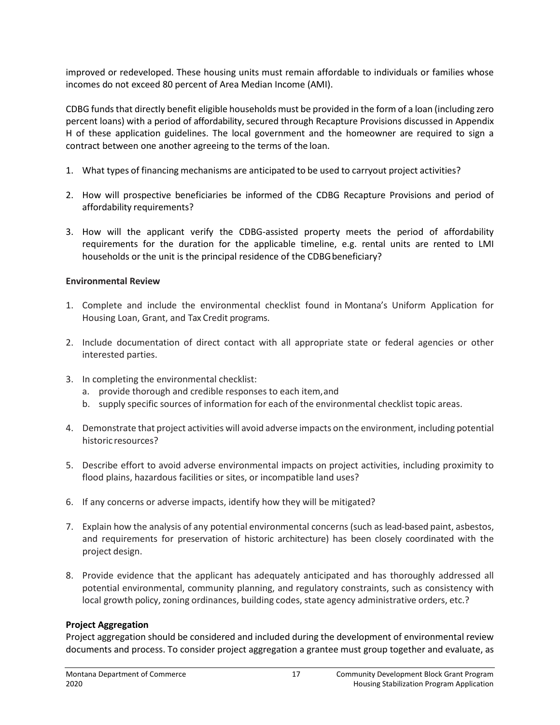improved or redeveloped. These housing units must remain affordable to individuals or families whose incomes do not exceed 80 percent of Area Median Income (AMI).

CDBG funds that directly benefit eligible households must be provided in the form of a loan (including zero percent loans) with a period of affordability, secured through Recapture Provisions discussed in Appendix H of these application guidelines. The local government and the homeowner are required to sign a contract between one another agreeing to the terms of the loan.

- 1. What types of financing mechanisms are anticipated to be used to carryout project activities?
- 2. How will prospective beneficiaries be informed of the CDBG Recapture Provisions and period of affordability requirements?
- 3. How will the applicant verify the CDBG-assisted property meets the period of affordability requirements for the duration for the applicable timeline, e.g. rental units are rented to LMI households or the unit is the principal residence of the CDBG beneficiary?

#### **Environmental Review**

- 1. Complete and include the environmental checklist found in Montana's Uniform Application for Housing Loan, Grant, and Tax Credit programs.
- 2. Include documentation of direct contact with all appropriate state or federal agencies or other interested parties.
- 3. In completing the environmental checklist:
	- a. provide thorough and credible responses to each item,and
	- b. supply specific sources of information for each of the environmental checklist topic areas.
- 4. Demonstrate that project activities will avoid adverse impacts on the environment, including potential historic resources?
- 5. Describe effort to avoid adverse environmental impacts on project activities, including proximity to flood plains, hazardous facilities or sites, or incompatible land uses?
- 6. If any concerns or adverse impacts, identify how they will be mitigated?
- 7. Explain how the analysis of any potential environmental concerns (such as lead-based paint, asbestos, and requirements for preservation of historic architecture) has been closely coordinated with the project design.
- 8. Provide evidence that the applicant has adequately anticipated and has thoroughly addressed all potential environmental, community planning, and regulatory constraints, such as consistency with local growth policy, zoning ordinances, building codes, state agency administrative orders, etc.?

#### **Project Aggregation**

Project aggregation should be considered and included during the development of environmental review documents and process. To consider project aggregation a grantee must group together and evaluate, as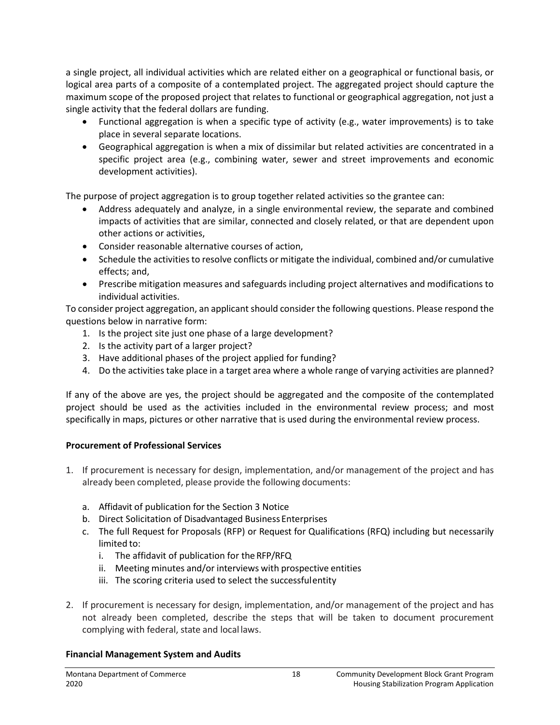a single project, all individual activities which are related either on a geographical or functional basis, or logical area parts of a composite of a contemplated project. The aggregated project should capture the maximum scope of the proposed project that relates to functional or geographical aggregation, not just a single activity that the federal dollars are funding.

- Functional aggregation is when a specific type of activity (e.g., water improvements) is to take place in several separate locations.
- Geographical aggregation is when a mix of dissimilar but related activities are concentrated in a specific project area (e.g., combining water, sewer and street improvements and economic development activities).

The purpose of project aggregation is to group together related activities so the grantee can:

- Address adequately and analyze, in a single environmental review, the separate and combined impacts of activities that are similar, connected and closely related, or that are dependent upon other actions or activities,
- Consider reasonable alternative courses of action,
- Schedule the activities to resolve conflicts or mitigate the individual, combined and/or cumulative effects; and,
- Prescribe mitigation measures and safeguards including project alternatives and modifications to individual activities.

To consider project aggregation, an applicant should consider the following questions. Please respond the questions below in narrative form:

- 1. Is the project site just one phase of a large development?
- 2. Is the activity part of a larger project?
- 3. Have additional phases of the project applied for funding?
- 4. Do the activities take place in a target area where a whole range of varying activities are planned?

If any of the above are yes, the project should be aggregated and the composite of the contemplated project should be used as the activities included in the environmental review process; and most specifically in maps, pictures or other narrative that is used during the environmental review process.

### **Procurement of Professional Services**

- 1. If procurement is necessary for design, implementation, and/or management of the project and has already been completed, please provide the following documents:
	- a. Affidavit of publication for the Section 3 Notice
	- b. Direct Solicitation of Disadvantaged Business Enterprises
	- c. The full Request for Proposals (RFP) or Request for Qualifications (RFQ) including but necessarily limited to:
		- i. The affidavit of publication for the RFP/RFQ
		- ii. Meeting minutes and/or interviews with prospective entities
		- iii. The scoring criteria used to select the successfulentity
- 2. If procurement is necessary for design, implementation, and/or management of the project and has not already been completed, describe the steps that will be taken to document procurement complying with federal, state and local laws.

### **Financial Management System and Audits**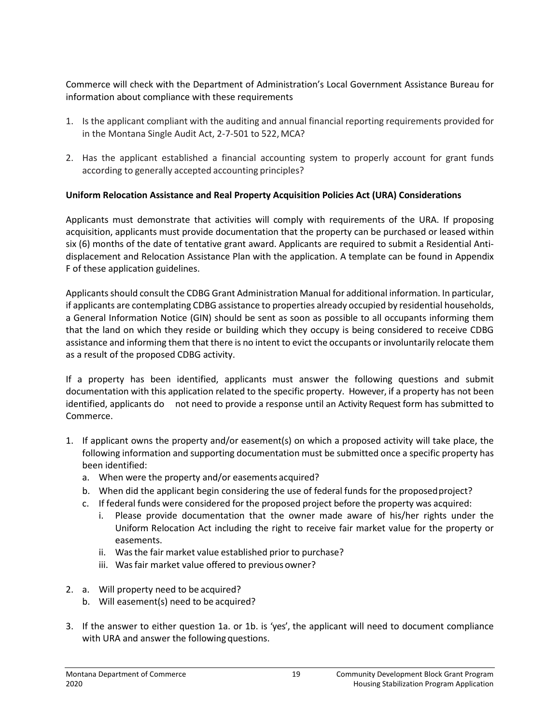Commerce will check with the Department of Administration's Local Government Assistance Bureau for information about compliance with these requirements

- 1. Is the applicant compliant with the auditing and annual financial reporting requirements provided for in the Montana Single Audit Act, 2-7-501 to 522, MCA?
- 2. Has the applicant established a financial accounting system to properly account for grant funds according to generally accepted accounting principles?

### **Uniform Relocation Assistance and Real Property Acquisition Policies Act (URA) Considerations**

Applicants must demonstrate that activities will comply with requirements of the URA. If proposing acquisition, applicants must provide documentation that the property can be purchased or leased within six (6) months of the date of tentative grant award. Applicants are required to submit a Residential Antidisplacement and Relocation Assistance Plan with the application. A template can be found in Appendix F of these application guidelines.

Applicants should consult the CDBG Grant Administration Manual for additional information. In particular, if applicants are contemplating CDBG assistance to properties already occupied by residential households, a General Information Notice (GIN) should be sent as soon as possible to all occupants informing them that the land on which they reside or building which they occupy is being considered to receive CDBG assistance and informing them that there is no intent to evict the occupants or involuntarily relocate them as a result of the proposed CDBG activity.

If a property has been identified, applicants must answer the following questions and submit documentation with this application related to the specific property. However, if a property has not been identified, applicants do not need to provide a response until an Activity Request form has submitted to Commerce.

- 1. If applicant owns the property and/or easement(s) on which a proposed activity will take place, the following information and supporting documentation must be submitted once a specific property has been identified:
	- a. When were the property and/or easements acquired?
	- b. When did the applicant begin considering the use of federal funds for the proposedproject?
	- c. If federal funds were considered for the proposed project before the property was acquired:
		- i. Please provide documentation that the owner made aware of his/her rights under the Uniform Relocation Act including the right to receive fair market value for the property or easements.
		- ii. Was the fair market value established prior to purchase?
		- iii. Was fair market value offered to previous owner?
- 2. a. Will property need to be acquired?
	- b. Will easement(s) need to be acquired?
- 3. If the answer to either question 1a. or 1b. is 'yes', the applicant will need to document compliance with URA and answer the following questions.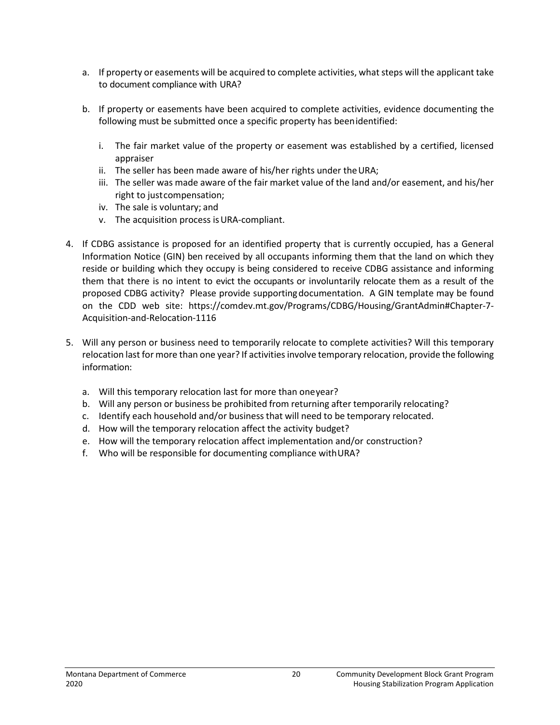- a. If property or easements will be acquired to complete activities, what steps will the applicant take to document compliance with URA?
- b. If property or easements have been acquired to complete activities, evidence documenting the following must be submitted once a specific property has beenidentified:
	- i. The fair market value of the property or easement was established by a certified, licensed appraiser
	- ii. The seller has been made aware of his/her rights under the URA;
	- iii. The seller was made aware of the fair market value of the land and/or easement, and his/her right to justcompensation;
	- iv. The sale is voluntary; and
	- v. The acquisition process isURA-compliant.
- 4. If CDBG assistance is proposed for an identified property that is currently occupied, has a General Information Notice (GIN) ben received by all occupants informing them that the land on which they reside or building which they occupy is being considered to receive CDBG assistance and informing them that there is no intent to evict the occupants or involuntarily relocate them as a result of the proposed CDBG activity? Please provide supportingdocumentation. A GIN template may be found on the CDD web site: https://comdev.mt.gov/Programs/CDBG/Housing/GrantAdmin#Chapter-7- Acquisition-and-Relocation-1116
- 5. Will any person or business need to temporarily relocate to complete activities? Will this temporary relocation last for more than one year? If activities involve temporary relocation, provide the following information:
	- a. Will this temporary relocation last for more than oneyear?
	- b. Will any person or business be prohibited from returning after temporarily relocating?
	- c. Identify each household and/or business that will need to be temporary relocated.
	- d. How will the temporary relocation affect the activity budget?
	- e. How will the temporary relocation affect implementation and/or construction?
	- f. Who will be responsible for documenting compliance withURA?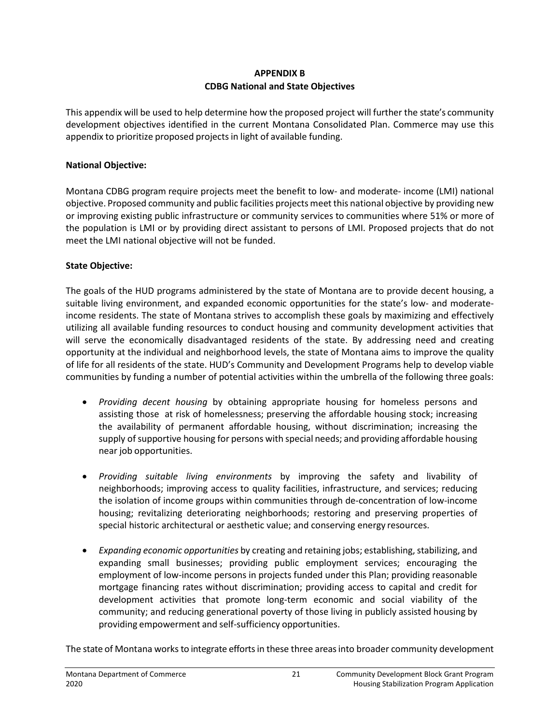### **APPENDIX B CDBG National and State Objectives**

This appendix will be used to help determine how the proposed project will further the state's community development objectives identified in the current Montana Consolidated Plan. Commerce may use this appendix to prioritize proposed projects in light of available funding.

#### **National Objective:**

Montana CDBG program require projects meet the benefit to low- and moderate- income (LMI) national objective. Proposed community and public facilities projects meet this national objective by providing new or improving existing public infrastructure or community services to communities where 51% or more of the population is LMI or by providing direct assistant to persons of LMI. Proposed projects that do not meet the LMI national objective will not be funded.

#### **State Objective:**

The goals of the HUD programs administered by the state of Montana are to provide decent housing, a suitable living environment, and expanded economic opportunities for the state's low- and moderateincome residents. The state of Montana strives to accomplish these goals by maximizing and effectively utilizing all available funding resources to conduct housing and community development activities that will serve the economically disadvantaged residents of the state. By addressing need and creating opportunity at the individual and neighborhood levels, the state of Montana aims to improve the quality of life for all residents of the state. HUD's Community and Development Programs help to develop viable communities by funding a number of potential activities within the umbrella of the following three goals:

- *Providing decent housing* by obtaining appropriate housing for homeless persons and assisting those at risk of homelessness; preserving the affordable housing stock; increasing the availability of permanent affordable housing, without discrimination; increasing the supply of supportive housing for persons with special needs; and providing affordable housing near job opportunities.
- *Providing suitable living environments* by improving the safety and livability of neighborhoods; improving access to quality facilities, infrastructure, and services; reducing the isolation of income groups within communities through de-concentration of low-income housing; revitalizing deteriorating neighborhoods; restoring and preserving properties of special historic architectural or aesthetic value; and conserving energy resources.
- *Expanding economic opportunities* by creating and retaining jobs; establishing, stabilizing, and expanding small businesses; providing public employment services; encouraging the employment of low-income persons in projects funded under this Plan; providing reasonable mortgage financing rates without discrimination; providing access to capital and credit for development activities that promote long-term economic and social viability of the community; and reducing generational poverty of those living in publicly assisted housing by providing empowerment and self-sufficiency opportunities.

The state of Montana works to integrate efforts in these three areas into broader community development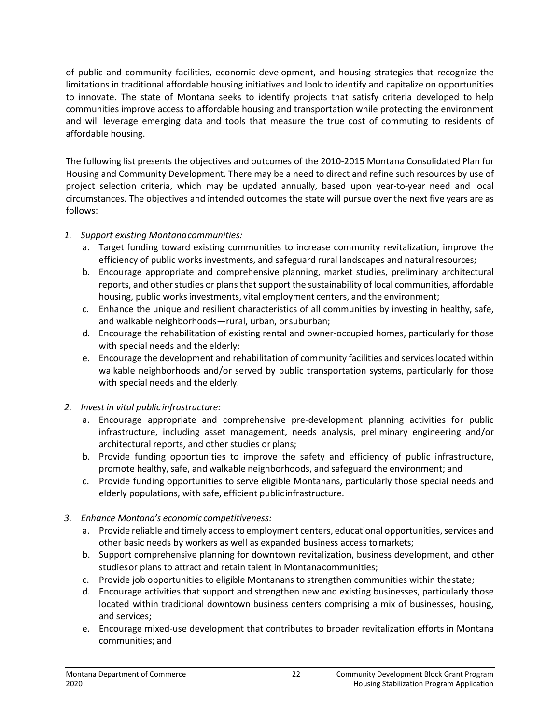of public and community facilities, economic development, and housing strategies that recognize the limitations in traditional affordable housing initiatives and look to identify and capitalize on opportunities to innovate. The state of Montana seeks to identify projects that satisfy criteria developed to help communities improve access to affordable housing and transportation while protecting the environment and will leverage emerging data and tools that measure the true cost of commuting to residents of affordable housing.

The following list presents the objectives and outcomes of the 2010-2015 Montana Consolidated Plan for Housing and Community Development. There may be a need to direct and refine such resources by use of project selection criteria, which may be updated annually, based upon year-to-year need and local circumstances. The objectives and intended outcomes the state will pursue over the next five years are as follows:

### *1. Support existing Montanacommunities:*

- a. Target funding toward existing communities to increase community revitalization, improve the efficiency of public works investments, and safeguard rural landscapes and naturalresources;
- b. Encourage appropriate and comprehensive planning, market studies, preliminary architectural reports, and other studies or plans that support the sustainability of local communities, affordable housing, public works investments, vital employment centers, and the environment;
- c. Enhance the unique and resilient characteristics of all communities by investing in healthy, safe, and walkable neighborhoods—rural, urban, orsuburban;
- d. Encourage the rehabilitation of existing rental and owner-occupied homes, particularly for those with special needs and the elderly;
- e. Encourage the development and rehabilitation of community facilities and services located within walkable neighborhoods and/or served by public transportation systems, particularly for those with special needs and the elderly.
- *2. Invest in vital public infrastructure:*
	- a. Encourage appropriate and comprehensive pre-development planning activities for public infrastructure, including asset management, needs analysis, preliminary engineering and/or architectural reports, and other studies or plans;
	- b. Provide funding opportunities to improve the safety and efficiency of public infrastructure, promote healthy,safe, and walkable neighborhoods, and safeguard the environment; and
	- c. Provide funding opportunities to serve eligible Montanans, particularly those special needs and elderly populations, with safe, efficient publicinfrastructure.
- *3. Enhance Montana's economic competitiveness:*
	- a. Provide reliable and timely access to employment centers, educational opportunities, services and other basic needs by workers as well as expanded business access tomarkets;
	- b. Support comprehensive planning for downtown revitalization, business development, and other studiesor plans to attract and retain talent in Montanacommunities;
	- c. Provide job opportunities to eligible Montanans to strengthen communities within thestate;
	- d. Encourage activities that support and strengthen new and existing businesses, particularly those located within traditional downtown business centers comprising a mix of businesses, housing, and services;
	- e. Encourage mixed-use development that contributes to broader revitalization efforts in Montana communities; and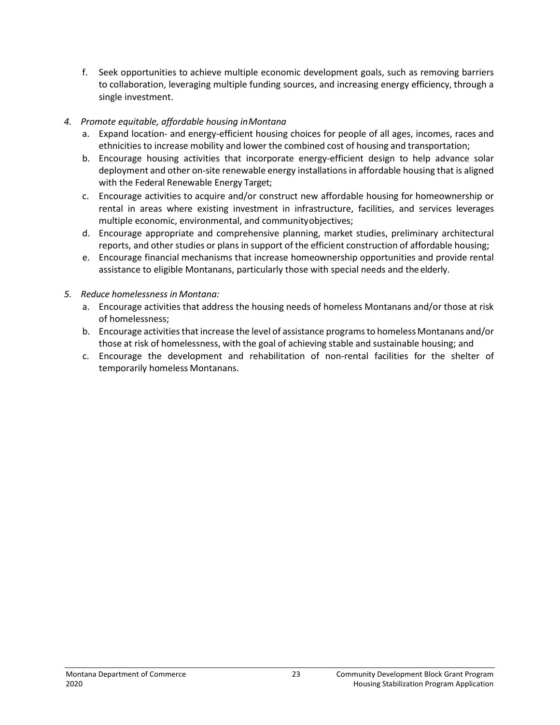f. Seek opportunities to achieve multiple economic development goals, such as removing barriers to collaboration, leveraging multiple funding sources, and increasing energy efficiency, through a single investment.

### *4. Promote equitable, affordable housing inMontana*

- a. Expand location- and energy-efficient housing choices for people of all ages, incomes, races and ethnicities to increase mobility and lower the combined cost of housing and transportation;
- b. Encourage housing activities that incorporate energy-efficient design to help advance solar deployment and other on-site renewable energy installations in affordable housing that is aligned with the Federal Renewable Energy Target;
- c. Encourage activities to acquire and/or construct new affordable housing for homeownership or rental in areas where existing investment in infrastructure, facilities, and services leverages multiple economic, environmental, and communityobjectives;
- d. Encourage appropriate and comprehensive planning, market studies, preliminary architectural reports, and other studies or plans in support of the efficient construction of affordable housing;
- e. Encourage financial mechanisms that increase homeownership opportunities and provide rental assistance to eligible Montanans, particularly those with special needs and theelderly.
- *5. Reduce homelessness in Montana:*
	- a. Encourage activities that address the housing needs of homeless Montanans and/or those at risk of homelessness;
	- b. Encourage activities that increase the level of assistance programs to homeless Montanans and/or those at risk of homelessness, with the goal of achieving stable and sustainable housing; and
	- c. Encourage the development and rehabilitation of non-rental facilities for the shelter of temporarily homeless Montanans.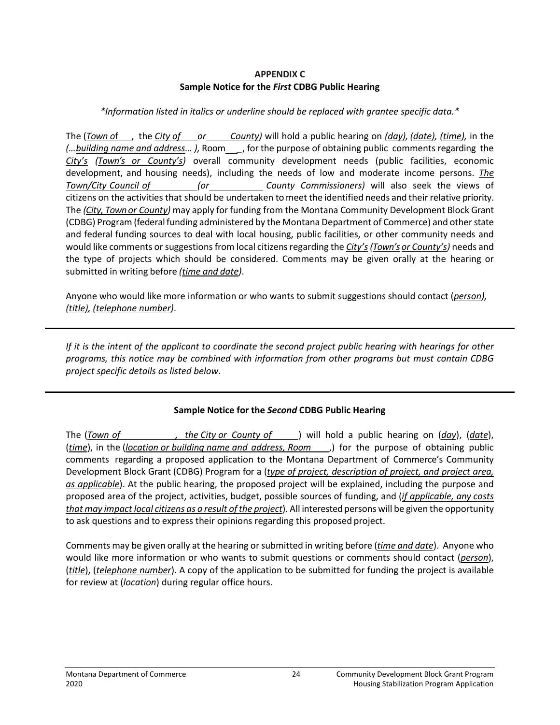### **APPENDIX C Sample Notice for the** *First* **CDBG Public Hearing**

#### *\*Information listed in italics or underline should be replaced with grantee specific data.\**

The (*Town o*f , the *City of or County)* will hold a public hearing on *(day), (date), (time),* in the *(…building name and address… ),* Room *\_*, for the purpose of obtaining public comments regarding the *City's (Town's or County's)* overall community development needs (public facilities, economic development, and housing needs), including the needs of low and moderate income persons. *The Town/City Council of (or County Commissioners)* will also seek the views of citizens on the activities that should be undertaken tomeet the identified needs and their relative priority. The *(City, Town or County)* may apply for funding from the Montana Community Development Block Grant (CDBG) Program (federal funding administered by the Montana Department of Commerce) and other state and federal funding sources to deal with local housing, public facilities, or other community needs and would like comments or suggestions from local citizens regarding the *City's(Town's or County's)* needs and the type of projects which should be considered. Comments may be given orally at the hearing or submitted in writing before *(time and date)*.

Anyone who would like more information or who wants to submit suggestions should contact (*person), (title), (telephone number)*.

*If it is the intent of the applicant to coordinate the second project public hearing with hearings for other programs, this notice may be combined with information from other programs but must contain CDBG project specific details as listed below.*

### **Sample Notice for the** *Second* **CDBG Public Hearing**

The (*Town of , the City or County of* ) will hold a public hearing on (*day*), (*date*), (*time*), in the (*location or building name and address, Room* ,) for the purpose of obtaining public comments regarding a proposed application to the Montana Department of Commerce's Community Development Block Grant (CDBG) Program for a (*type of project, description of project, and project area, as applicable*). At the public hearing, the proposed project will be explained, including the purpose and proposed area of the project, activities, budget, possible sources of funding, and (*if applicable, any costs that may impact local citizens as a result of the project*). All interested persons will be given the opportunity to ask questions and to express their opinions regarding this proposed project.

Comments may be given orally at the hearing or submitted in writing before (*time and date*). Anyone who would like more information or who wants to submit questions or comments should contact (*person*), (*title*), (*telephone number*). A copy of the application to be submitted for funding the project is available for review at (*location*) during regular office hours.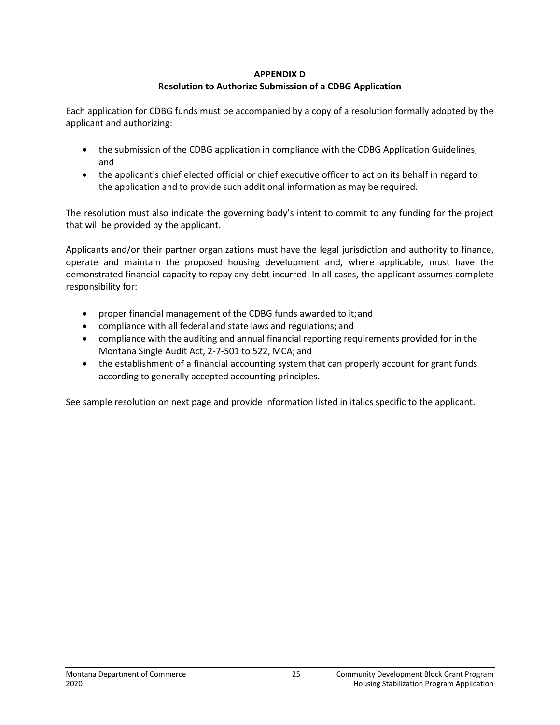#### **APPENDIX D**

#### **Resolution to Authorize Submission of a CDBG Application**

Each application for CDBG funds must be accompanied by a copy of a resolution formally adopted by the applicant and authorizing:

- the submission of the CDBG application in compliance with the CDBG Application Guidelines, and
- the applicant's chief elected official or chief executive officer to act on its behalf in regard to the application and to provide such additional information as may be required.

The resolution must also indicate the governing body's intent to commit to any funding for the project that will be provided by the applicant.

Applicants and/or their partner organizations must have the legal jurisdiction and authority to finance, operate and maintain the proposed housing development and, where applicable, must have the demonstrated financial capacity to repay any debt incurred. In all cases, the applicant assumes complete responsibility for:

- proper financial management of the CDBG funds awarded to it;and
- compliance with all federal and state laws and regulations; and
- compliance with the auditing and annual financial reporting requirements provided for in the Montana Single Audit Act, 2-7-501 to 522, MCA; and
- the establishment of a financial accounting system that can properly account for grant funds according to generally accepted accounting principles.

See sample resolution on next page and provide information listed in italics specific to the applicant.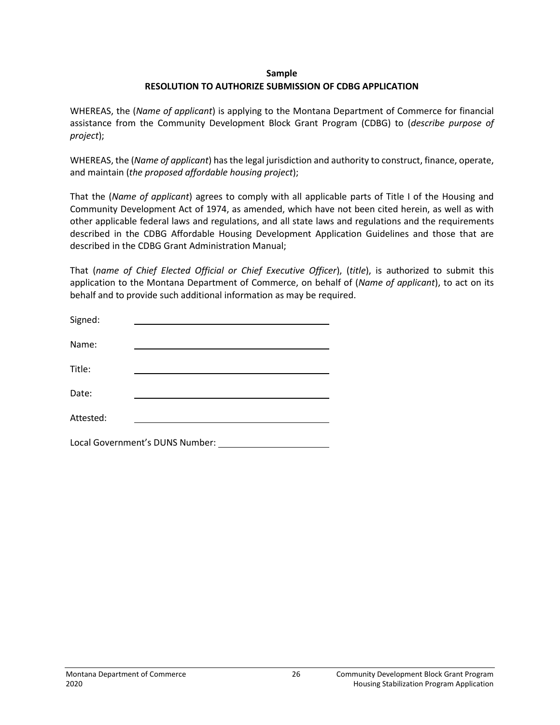#### **Sample RESOLUTION TO AUTHORIZE SUBMISSION OF CDBG APPLICATION**

WHEREAS, the (*Name of applicant*) is applying to the Montana Department of Commerce for financial assistance from the Community Development Block Grant Program (CDBG) to (*describe purpose of project*);

WHEREAS, the (*Name of applicant*) has the legal jurisdiction and authority to construct, finance, operate, and maintain (*the proposed affordable housing project*);

That the (*Name of applicant*) agrees to comply with all applicable parts of Title I of the Housing and Community Development Act of 1974, as amended, which have not been cited herein, as well as with other applicable federal laws and regulations, and all state laws and regulations and the requirements described in the CDBG Affordable Housing Development Application Guidelines and those that are described in the CDBG Grant Administration Manual;

That (*name of Chief Elected Official or Chief Executive Officer*), (*title*), is authorized to submit this application to the Montana Department of Commerce, on behalf of (*Name of applicant*), to act on its behalf and to provide such additional information as may be required.

| Signed:                         |  |  |
|---------------------------------|--|--|
| Name:                           |  |  |
| Title:                          |  |  |
| Date:                           |  |  |
| Attested:                       |  |  |
| Local Government's DUNS Number: |  |  |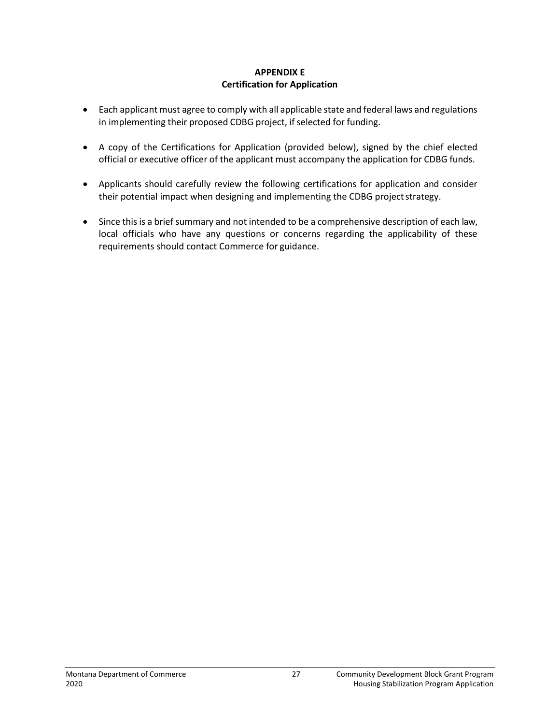#### **APPENDIX E Certification for Application**

- Each applicant must agree to comply with all applicable state and federal laws and regulations in implementing their proposed CDBG project, if selected for funding.
- A copy of the Certifications for Application (provided below), signed by the chief elected official or executive officer of the applicant must accompany the application for CDBG funds.
- Applicants should carefully review the following certifications for application and consider their potential impact when designing and implementing the CDBG project strategy.
- Since this is a brief summary and not intended to be a comprehensive description of each law, local officials who have any questions or concerns regarding the applicability of these requirements should contact Commerce for guidance.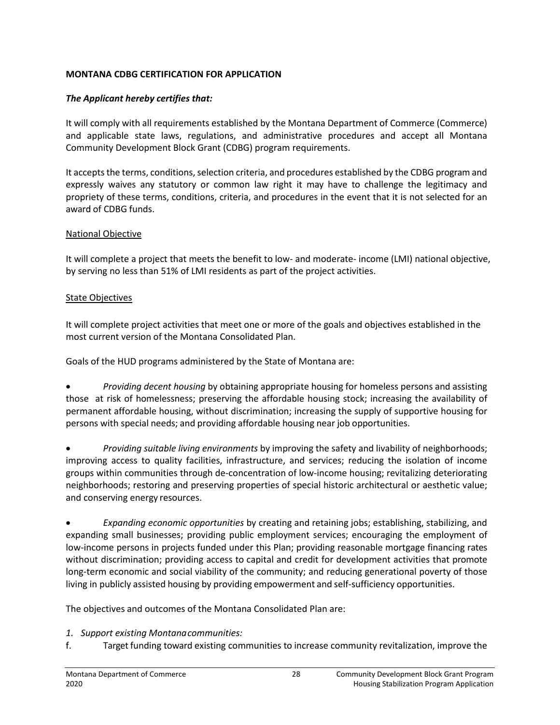#### **MONTANA CDBG CERTIFICATION FOR APPLICATION**

#### *The Applicant hereby certifies that:*

It will comply with all requirements established by the Montana Department of Commerce (Commerce) and applicable state laws, regulations, and administrative procedures and accept all Montana Community Development Block Grant (CDBG) program requirements.

It accepts the terms, conditions, selection criteria, and procedures established by the CDBG program and expressly waives any statutory or common law right it may have to challenge the legitimacy and propriety of these terms, conditions, criteria, and procedures in the event that it is not selected for an award of CDBG funds.

#### National Objective

It will complete a project that meets the benefit to low- and moderate- income (LMI) national objective, by serving no less than 51% of LMI residents as part of the project activities.

#### State Objectives

It will complete project activities that meet one or more of the goals and objectives established in the most current version of the Montana Consolidated Plan.

Goals of the HUD programs administered by the State of Montana are:

• *Providing decent housing* by obtaining appropriate housing for homeless persons and assisting those at risk of homelessness; preserving the affordable housing stock; increasing the availability of permanent affordable housing, without discrimination; increasing the supply of supportive housing for persons with special needs; and providing affordable housing near job opportunities.

• *Providing suitable living environments* by improving the safety and livability of neighborhoods; improving access to quality facilities, infrastructure, and services; reducing the isolation of income groups within communities through de-concentration of low-income housing; revitalizing deteriorating neighborhoods; restoring and preserving properties of special historic architectural or aesthetic value; and conserving energy resources.

• *Expanding economic opportunities* by creating and retaining jobs; establishing, stabilizing, and expanding small businesses; providing public employment services; encouraging the employment of low-income persons in projects funded under this Plan; providing reasonable mortgage financing rates without discrimination; providing access to capital and credit for development activities that promote long-term economic and social viability of the community; and reducing generational poverty of those living in publicly assisted housing by providing empowerment and self-sufficiency opportunities.

The objectives and outcomes of the Montana Consolidated Plan are:

- *1. Support existing Montanacommunities:*
- f. Target funding toward existing communities to increase community revitalization, improve the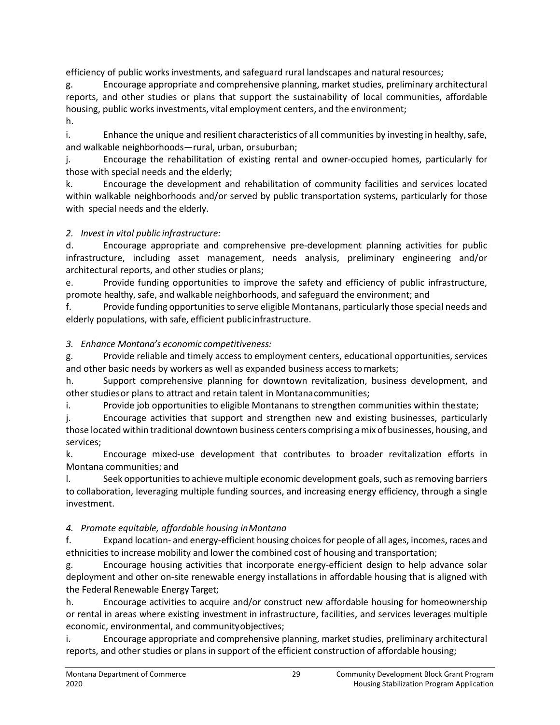efficiency of public works investments, and safeguard rural landscapes and naturalresources;

g. Encourage appropriate and comprehensive planning, market studies, preliminary architectural reports, and other studies or plans that support the sustainability of local communities, affordable housing, public works investments, vital employment centers, and the environment; h.

i. Enhance the unique and resilient characteristics of all communities by investing in healthy, safe, and walkable neighborhoods—rural, urban, orsuburban;

j. Encourage the rehabilitation of existing rental and owner-occupied homes, particularly for those with special needs and the elderly;

k. Encourage the development and rehabilitation of community facilities and services located within walkable neighborhoods and/or served by public transportation systems, particularly for those with special needs and the elderly.

### *2. Invest in vital public infrastructure:*

d. Encourage appropriate and comprehensive pre-development planning activities for public infrastructure, including asset management, needs analysis, preliminary engineering and/or architectural reports, and other studies or plans;

e. Provide funding opportunities to improve the safety and efficiency of public infrastructure, promote healthy,safe, and walkable neighborhoods, and safeguard the environment; and

f. Provide funding opportunities to serve eligible Montanans, particularly those special needs and elderly populations, with safe, efficient publicinfrastructure.

### *3. Enhance Montana's economic competitiveness:*

g. Provide reliable and timely access to employment centers, educational opportunities, services and other basic needs by workers as well as expanded business access tomarkets;

h. Support comprehensive planning for downtown revitalization, business development, and other studiesor plans to attract and retain talent in Montanacommunities;

i. Provide job opportunities to eligible Montanans to strengthen communities within thestate;

j. Encourage activities that support and strengthen new and existing businesses, particularly those located within traditional downtown business centers comprising a mix of businesses, housing, and services;

k. Encourage mixed-use development that contributes to broader revitalization efforts in Montana communities; and

l. Seek opportunities to achieve multiple economic development goals, such as removing barriers to collaboration, leveraging multiple funding sources, and increasing energy efficiency, through a single investment.

### *4. Promote equitable, affordable housing inMontana*

f. Expand location- and energy-efficient housing choices for people of all ages, incomes, races and ethnicities to increase mobility and lower the combined cost of housing and transportation;

g. Encourage housing activities that incorporate energy-efficient design to help advance solar deployment and other on-site renewable energy installations in affordable housing that is aligned with the Federal Renewable Energy Target;

h. Encourage activities to acquire and/or construct new affordable housing for homeownership or rental in areas where existing investment in infrastructure, facilities, and services leverages multiple economic, environmental, and communityobjectives;

i. Encourage appropriate and comprehensive planning, market studies, preliminary architectural reports, and other studies or plans in support of the efficient construction of affordable housing;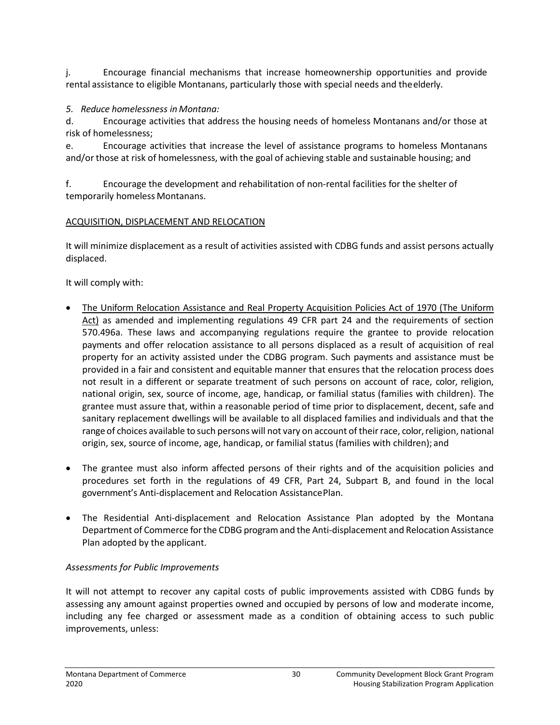j. Encourage financial mechanisms that increase homeownership opportunities and provide rental assistance to eligible Montanans, particularly those with special needs and theelderly.

### *5. Reduce homelessness in Montana:*

d. Encourage activities that address the housing needs of homeless Montanans and/or those at risk of homelessness;

e. Encourage activities that increase the level of assistance programs to homeless Montanans and/or those at risk of homelessness, with the goal of achieving stable and sustainable housing; and

f. Encourage the development and rehabilitation of non-rental facilities for the shelter of temporarily homeless Montanans.

## ACQUISITION, DISPLACEMENT AND RELOCATION

It will minimize displacement as a result of activities assisted with CDBG funds and assist persons actually displaced.

It will comply with:

- The Uniform Relocation Assistance and Real Property Acquisition Policies Act of 1970 (The Uniform Act) as amended and implementing regulations 49 CFR part 24 and the requirements of section 570.496a. These laws and accompanying regulations require the grantee to provide relocation payments and offer relocation assistance to all persons displaced as a result of acquisition of real property for an activity assisted under the CDBG program. Such payments and assistance must be provided in a fair and consistent and equitable manner that ensures that the relocation process does not result in a different or separate treatment of such persons on account of race, color, religion, national origin, sex, source of income, age, handicap, or familial status (families with children). The grantee must assure that, within a reasonable period of time prior to displacement, decent, safe and sanitary replacement dwellings will be available to all displaced families and individuals and that the range of choices available to such persons will not vary on account of their race, color, religion, national origin, sex, source of income, age, handicap, or familial status (families with children); and
- The grantee must also inform affected persons of their rights and of the acquisition policies and procedures set forth in the regulations of 49 CFR, Part 24, Subpart B, and found in the local government's Anti-displacement and Relocation AssistancePlan.
- The Residential Anti-displacement and Relocation Assistance Plan adopted by the Montana Department of Commerce for the CDBG program and the Anti-displacement and Relocation Assistance Plan adopted by the applicant.

# *Assessments for Public Improvements*

It will not attempt to recover any capital costs of public improvements assisted with CDBG funds by assessing any amount against properties owned and occupied by persons of low and moderate income, including any fee charged or assessment made as a condition of obtaining access to such public improvements, unless: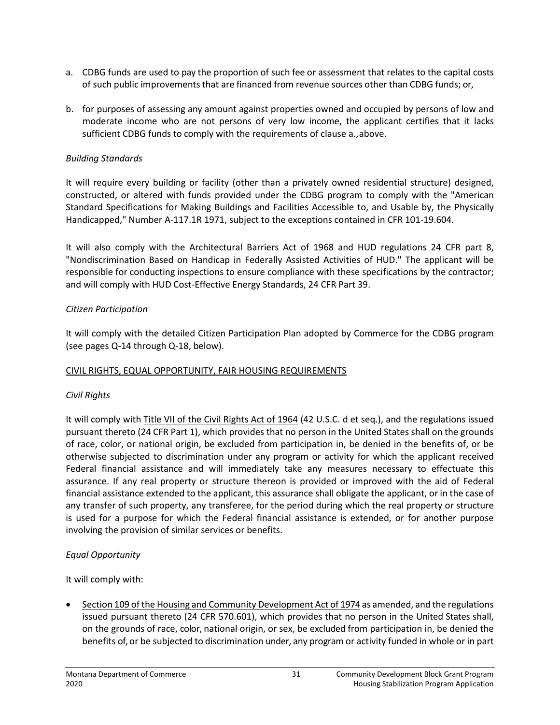- a. CDBG funds are used to pay the proportion of such fee or assessment that relates to the capital costs of such public improvements that are financed from revenue sources other than CDBG funds; or,
- b. for purposes of assessing any amount against properties owned and occupied by persons of low and moderate income who are not persons of very low income, the applicant certifies that it lacks sufficient CDBG funds to comply with the requirements of clause a.,above.

#### *Building Standards*

It will require every building or facility (other than a privately owned residential structure) designed, constructed, or altered with funds provided under the CDBG program to comply with the "American Standard Specifications for Making Buildings and Facilities Accessible to, and Usable by, the Physically Handicapped," Number A-117.1R 1971, subject to the exceptions contained in CFR 101-19.604.

It will also comply with the Architectural Barriers Act of 1968 and HUD regulations 24 CFR part 8, "Nondiscrimination Based on Handicap in Federally Assisted Activities of HUD." The applicant will be responsible for conducting inspections to ensure compliance with these specifications by the contractor; and will comply with HUD Cost-Effective Energy Standards, 24 CFR Part 39.

#### *Citizen Participation*

It will comply with the detailed Citizen Participation Plan adopted by Commerce for the CDBG program (see pages Q-14 through Q-18, below).

### CIVIL RIGHTS, EQUAL OPPORTUNITY, FAIR HOUSING REQUIREMENTS

### *Civil Rights*

It will comply with Title VII of the Civil Rights Act of 1964 (42 U.S.C. d et seq.), and the regulations issued pursuant thereto (24 CFR Part 1), which provides that no person in the United States shall on the grounds of race, color, or national origin, be excluded from participation in, be denied in the benefits of, or be otherwise subjected to discrimination under any program or activity for which the applicant received Federal financial assistance and will immediately take any measures necessary to effectuate this assurance. If any real property or structure thereon is provided or improved with the aid of Federal financial assistance extended to the applicant, this assurance shall obligate the applicant, or in the case of any transfer of such property, any transferee, for the period during which the real property or structure is used for a purpose for which the Federal financial assistance is extended, or for another purpose involving the provision of similar services or benefits.

### *Equal Opportunity*

It will comply with:

• Section 109 of the Housing and Community Development Act of 1974 as amended, and the regulations issued pursuant thereto (24 CFR 570.601), which provides that no person in the United States shall, on the grounds of race, color, national origin, or sex, be excluded from participation in, be denied the benefits of, or be subjected to discrimination under, any program or activity funded in whole or in part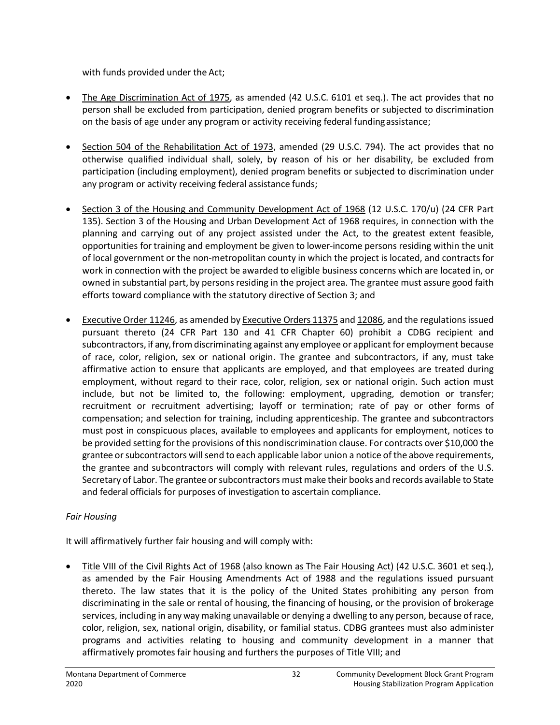with funds provided under the Act;

- The Age Discrimination Act of 1975, as amended (42 U.S.C. 6101 et seq.). The act provides that no person shall be excluded from participation, denied program benefits or subjected to discrimination on the basis of age under any program or activity receiving federal fundingassistance;
- Section 504 of the Rehabilitation Act of 1973, amended (29 U.S.C. 794). The act provides that no otherwise qualified individual shall, solely, by reason of his or her disability, be excluded from participation (including employment), denied program benefits or subjected to discrimination under any program or activity receiving federal assistance funds;
- Section 3 of the Housing and Community Development Act of 1968 (12 U.S.C. 170/u) (24 CFR Part 135). Section 3 of the Housing and Urban Development Act of 1968 requires, in connection with the planning and carrying out of any project assisted under the Act, to the greatest extent feasible, opportunities for training and employment be given to lower-income persons residing within the unit of local government or the non-metropolitan county in which the project is located, and contracts for work in connection with the project be awarded to eligible business concerns which are located in, or owned in substantial part, by persons residing in the project area. The grantee must assure good faith efforts toward compliance with the statutory directive of Section 3; and
- Executive Order 11246, as amended by Executive Orders 11375 and 12086, and the regulations issued pursuant thereto (24 CFR Part 130 and 41 CFR Chapter 60) prohibit a CDBG recipient and subcontractors, if any, from discriminating against any employee or applicant for employment because of race, color, religion, sex or national origin. The grantee and subcontractors, if any, must take affirmative action to ensure that applicants are employed, and that employees are treated during employment, without regard to their race, color, religion, sex or national origin. Such action must include, but not be limited to, the following: employment, upgrading, demotion or transfer; recruitment or recruitment advertising; layoff or termination; rate of pay or other forms of compensation; and selection for training, including apprenticeship. The grantee and subcontractors must post in conspicuous places, available to employees and applicants for employment, notices to be provided setting for the provisions of this nondiscrimination clause. For contracts over \$10,000 the grantee or subcontractors will send to each applicable labor union a notice of the above requirements, the grantee and subcontractors will comply with relevant rules, regulations and orders of the U.S. Secretary of Labor. The grantee or subcontractors must make their books and records available to State and federal officials for purposes of investigation to ascertain compliance.

### *Fair Housing*

It will affirmatively further fair housing and will comply with:

• Title VIII of the Civil Rights Act of 1968 (also known as The Fair Housing Act) (42 U.S.C. 3601 et seq.), as amended by the Fair Housing Amendments Act of 1988 and the regulations issued pursuant thereto. The law states that it is the policy of the United States prohibiting any person from discriminating in the sale or rental of housing, the financing of housing, or the provision of brokerage services, including in any way making unavailable or denying a dwelling to any person, because of race, color, religion, sex, national origin, disability, or familial status. CDBG grantees must also administer programs and activities relating to housing and community development in a manner that affirmatively promotes fair housing and furthers the purposes of Title VIII; and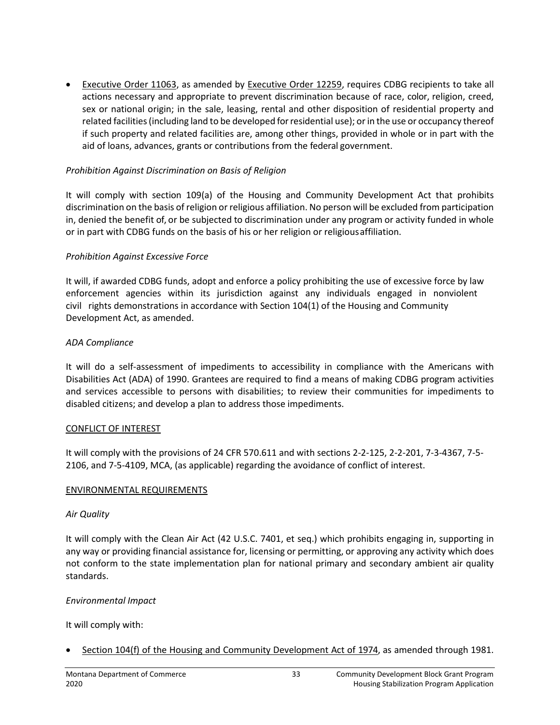• Executive Order 11063, as amended by Executive Order 12259, requires CDBG recipients to take all actions necessary and appropriate to prevent discrimination because of race, color, religion, creed, sex or national origin; in the sale, leasing, rental and other disposition of residential property and related facilities (including land to be developed for residential use); or in the use or occupancy thereof if such property and related facilities are, among other things, provided in whole or in part with the aid of loans, advances, grants or contributions from the federal government.

#### *Prohibition Against Discrimination on Basis of Religion*

It will comply with section 109(a) of the Housing and Community Development Act that prohibits discrimination on the basis of religion or religious affiliation. No person will be excluded from participation in, denied the benefit of, or be subjected to discrimination under any program or activity funded in whole or in part with CDBG funds on the basis of his or her religion or religiousaffiliation.

#### *Prohibition Against Excessive Force*

It will, if awarded CDBG funds, adopt and enforce a policy prohibiting the use of excessive force by law enforcement agencies within its jurisdiction against any individuals engaged in nonviolent civil rights demonstrations in accordance with Section 104(1) of the Housing and Community Development Act, as amended.

#### *ADA Compliance*

It will do a self-assessment of impediments to accessibility in compliance with the Americans with Disabilities Act (ADA) of 1990. Grantees are required to find a means of making CDBG program activities and services accessible to persons with disabilities; to review their communities for impediments to disabled citizens; and develop a plan to address those impediments.

#### CONFLICT OF INTEREST

It will comply with the provisions of 24 CFR 570.611 and with sections 2-2-125, 2-2-201, 7-3-4367, 7-5- 2106, and 7-5-4109, MCA, (as applicable) regarding the avoidance of conflict of interest.

#### ENVIRONMENTAL REQUIREMENTS

#### *Air Quality*

It will comply with the Clean Air Act (42 U.S.C. 7401, et seq.) which prohibits engaging in, supporting in any way or providing financial assistance for, licensing or permitting, or approving any activity which does not conform to the state implementation plan for national primary and secondary ambient air quality standards.

#### *Environmental Impact*

It will comply with:

• Section 104(f) of the Housing and Community Development Act of 1974, as amended through 1981.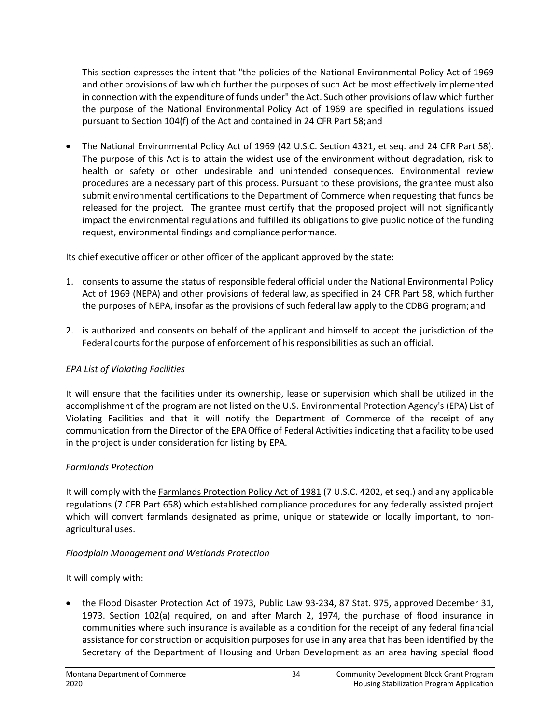This section expresses the intent that "the policies of the National Environmental Policy Act of 1969 and other provisions of law which further the purposes of such Act be most effectively implemented in connection with the expenditure of funds under" the Act. Such other provisions of law which further the purpose of the National Environmental Policy Act of 1969 are specified in regulations issued pursuant to Section 104(f) of the Act and contained in 24 CFR Part 58;and

• The National Environmental Policy Act of 1969 (42 U.S.C. Section 4321, et seq. and 24 CFR Part 58). The purpose of this Act is to attain the widest use of the environment without degradation, risk to health or safety or other undesirable and unintended consequences. Environmental review procedures are a necessary part of this process. Pursuant to these provisions, the grantee must also submit environmental certifications to the Department of Commerce when requesting that funds be released for the project. The grantee must certify that the proposed project will not significantly impact the environmental regulations and fulfilled its obligations to give public notice of the funding request, environmental findings and compliance performance.

Its chief executive officer or other officer of the applicant approved by the state:

- 1. consents to assume the status of responsible federal official under the National Environmental Policy Act of 1969 (NEPA) and other provisions of federal law, as specified in 24 CFR Part 58, which further the purposes of NEPA, insofar as the provisions of such federal law apply to the CDBG program;and
- 2. is authorized and consents on behalf of the applicant and himself to accept the jurisdiction of the Federal courts for the purpose of enforcement of his responsibilities as such an official.

### *EPA List of Violating Facilities*

It will ensure that the facilities under its ownership, lease or supervision which shall be utilized in the accomplishment of the program are not listed on the U.S. Environmental Protection Agency's (EPA) List of Violating Facilities and that it will notify the Department of Commerce of the receipt of any communication from the Director of the EPA Office of Federal Activities indicating that a facility to be used in the project is under consideration for listing by EPA.

### *Farmlands Protection*

It will comply with the Farmlands Protection Policy Act of 1981 (7 U.S.C. 4202, et seq.) and any applicable regulations (7 CFR Part 658) which established compliance procedures for any federally assisted project which will convert farmlands designated as prime, unique or statewide or locally important, to nonagricultural uses.

### *Floodplain Management and Wetlands Protection*

It will comply with:

• the Flood Disaster Protection Act of 1973, Public Law 93-234, 87 Stat. 975, approved December 31, 1973. Section 102(a) required, on and after March 2, 1974, the purchase of flood insurance in communities where such insurance is available as a condition for the receipt of any federal financial assistance for construction or acquisition purposes for use in any area that has been identified by the Secretary of the Department of Housing and Urban Development as an area having special flood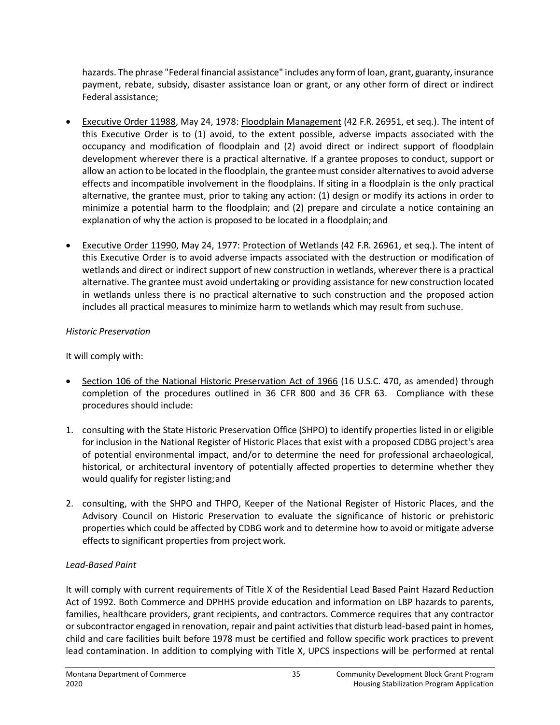hazards. The phrase "Federal financial assistance" includes any form of loan, grant, guaranty, insurance payment, rebate, subsidy, disaster assistance loan or grant, or any other form of direct or indirect Federal assistance;

- Executive Order 11988, May 24, 1978: Floodplain Management (42 F.R. 26951, et seq.). The intent of this Executive Order is to (1) avoid, to the extent possible, adverse impacts associated with the occupancy and modification of floodplain and (2) avoid direct or indirect support of floodplain development wherever there is a practical alternative. If a grantee proposes to conduct, support or allow an action to be located in the floodplain, the grantee must consider alternatives to avoid adverse effects and incompatible involvement in the floodplains. If siting in a floodplain is the only practical alternative, the grantee must, prior to taking any action: (1) design or modify its actions in order to minimize a potential harm to the floodplain; and (2) prepare and circulate a notice containing an explanation of why the action is proposed to be located in a floodplain;and
- Executive Order 11990, May 24, 1977: Protection of Wetlands (42 F.R. 26961, et seq.). The intent of this Executive Order is to avoid adverse impacts associated with the destruction or modification of wetlands and direct or indirect support of new construction in wetlands, wherever there is a practical alternative. The grantee must avoid undertaking or providing assistance for new construction located in wetlands unless there is no practical alternative to such construction and the proposed action includes all practical measures to minimize harm to wetlands which may result from suchuse.

### *Historic Preservation*

It will comply with:

- Section 106 of the National Historic Preservation Act of 1966 (16 U.S.C. 470, as amended) through completion of the procedures outlined in 36 CFR 800 and 36 CFR 63. Compliance with these procedures should include:
- 1. consulting with the State Historic Preservation Office (SHPO) to identify properties listed in or eligible for inclusion in the National Register of Historic Places that exist with a proposed CDBG project's area of potential environmental impact, and/or to determine the need for professional archaeological, historical, or architectural inventory of potentially affected properties to determine whether they would qualify for register listing;and
- 2. consulting, with the SHPO and THPO, Keeper of the National Register of Historic Places, and the Advisory Council on Historic Preservation to evaluate the significance of historic or prehistoric properties which could be affected by CDBG work and to determine how to avoid or mitigate adverse effects to significant properties from project work.

### *Lead-Based Paint*

It will comply with current requirements of Title X of the Residential Lead Based Paint Hazard Reduction Act of 1992. Both Commerce and DPHHS provide education and information on LBP hazards to parents, families, healthcare providers, grant recipients, and contractors. Commerce requires that any contractor or subcontractor engaged in renovation, repair and paint activities that disturb lead-based paint in homes, child and care facilities built before 1978 must be certified and follow specific work practices to prevent lead contamination. In addition to complying with Title X, UPCS inspections will be performed at rental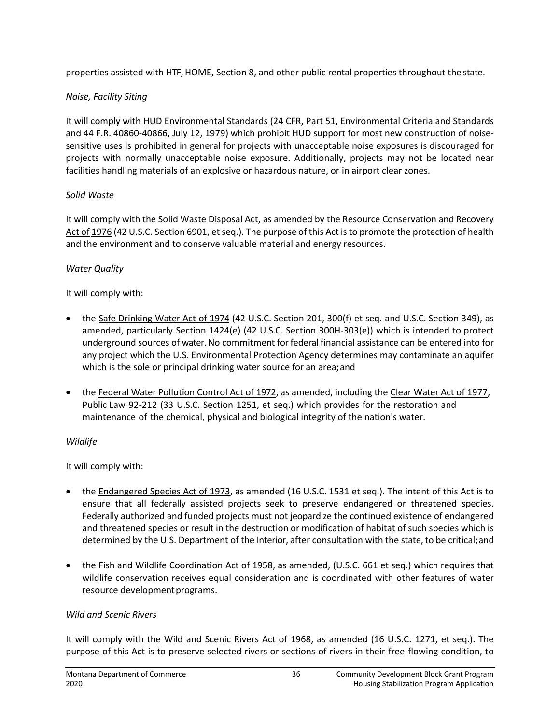properties assisted with HTF, HOME, Section 8, and other public rental properties throughout the state.

### *Noise, Facility Siting*

It will comply with HUD Environmental Standards (24 CFR, Part 51, Environmental Criteria and Standards and 44 F.R. 40860-40866, July 12, 1979) which prohibit HUD support for most new construction of noisesensitive uses is prohibited in general for projects with unacceptable noise exposures is discouraged for projects with normally unacceptable noise exposure. Additionally, projects may not be located near facilities handling materials of an explosive or hazardous nature, or in airport clear zones.

### *Solid Waste*

It will comply with the Solid Waste Disposal Act, as amended by the Resource Conservation and Recovery Act of 1976 (42 U.S.C. Section 6901, et seq.). The purpose of this Act is to promote the protection of health and the environment and to conserve valuable material and energy resources.

### *Water Quality*

It will comply with:

- the Safe Drinking Water Act of 1974 (42 U.S.C. Section 201, 300(f) et seq. and U.S.C. Section 349), as amended, particularly Section 1424(e) (42 U.S.C. Section 300H-303(e)) which is intended to protect underground sources of water. No commitment for federal financial assistance can be entered into for any project which the U.S. Environmental Protection Agency determines may contaminate an aquifer which is the sole or principal drinking water source for an area; and
- the Federal Water Pollution Control Act of 1972, as amended, including the Clear Water Act of 1977, Public Law 92-212 (33 U.S.C. Section 1251, et seq.) which provides for the restoration and maintenance of the chemical, physical and biological integrity of the nation's water.

### *Wildlife*

It will comply with:

- the Endangered Species Act of 1973, as amended (16 U.S.C. 1531 et seq.). The intent of this Act is to ensure that all federally assisted projects seek to preserve endangered or threatened species. Federally authorized and funded projects must not jeopardize the continued existence of endangered and threatened species or result in the destruction or modification of habitat of such species which is determined by the U.S. Department of the Interior, after consultation with the state, to be critical;and
- the Fish and Wildlife Coordination Act of 1958, as amended, (U.S.C. 661 et seq.) which requires that wildlife conservation receives equal consideration and is coordinated with other features of water resource developmentprograms.

### *Wild and Scenic Rivers*

It will comply with the Wild and Scenic Rivers Act of 1968, as amended (16 U.S.C. 1271, et seq.). The purpose of this Act is to preserve selected rivers or sections of rivers in their free-flowing condition, to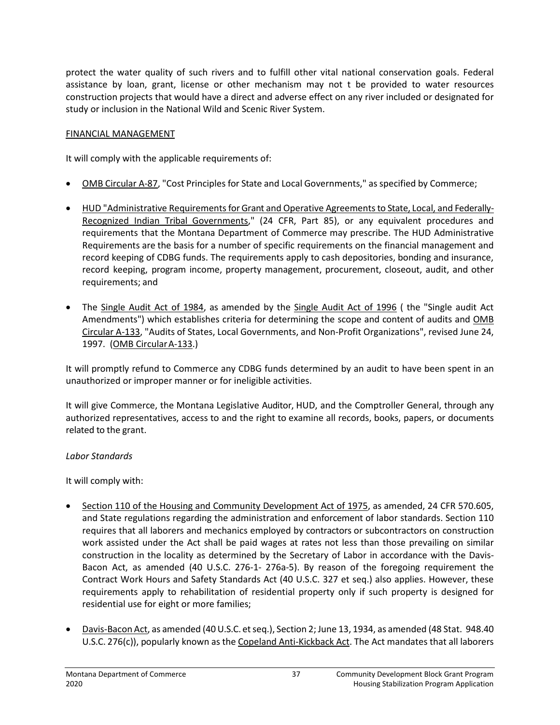protect the water quality of such rivers and to fulfill other vital national conservation goals. Federal assistance by loan, grant, license or other mechanism may not t be provided to water resources construction projects that would have a direct and adverse effect on any river included or designated for study or inclusion in the National Wild and Scenic River System.

### FINANCIAL MANAGEMENT

It will comply with the applicable requirements of:

- OMB Circular A-87, "Cost Principles for State and Local Governments," as specified by Commerce;
- HUD "Administrative Requirements for Grant and Operative Agreements to State, Local, and Federally-Recognized Indian Tribal Governments," (24 CFR, Part 85), or any equivalent procedures and requirements that the Montana Department of Commerce may prescribe. The HUD Administrative Requirements are the basis for a number of specific requirements on the financial management and record keeping of CDBG funds. The requirements apply to cash depositories, bonding and insurance, record keeping, program income, property management, procurement, closeout, audit, and other requirements; and
- The Single Audit Act of 1984, as amended by the Single Audit Act of 1996 (the "Single audit Act Amendments") which establishes criteria for determining the scope and content of audits and OMB Circular A-133, "Audits of States, Local Governments, and Non-Profit Organizations", revised June 24, 1997. (OMB CircularA-133.)

It will promptly refund to Commerce any CDBG funds determined by an audit to have been spent in an unauthorized or improper manner or for ineligible activities.

It will give Commerce, the Montana Legislative Auditor, HUD, and the Comptroller General, through any authorized representatives, access to and the right to examine all records, books, papers, or documents related to the grant.

### *Labor Standards*

It will comply with:

- Section 110 of the Housing and Community Development Act of 1975, as amended, 24 CFR 570.605, and State regulations regarding the administration and enforcement of labor standards. Section 110 requires that all laborers and mechanics employed by contractors or subcontractors on construction work assisted under the Act shall be paid wages at rates not less than those prevailing on similar construction in the locality as determined by the Secretary of Labor in accordance with the Davis-Bacon Act, as amended (40 U.S.C. 276-1- 276a-5). By reason of the foregoing requirement the Contract Work Hours and Safety Standards Act (40 U.S.C. 327 et seq.) also applies. However, these requirements apply to rehabilitation of residential property only if such property is designed for residential use for eight or more families;
- Davis-Bacon Act, as amended (40 U.S.C. et seq.), Section 2; June 13, 1934, as amended (48 Stat. 948.40 U.S.C. 276(c)), popularly known as the Copeland Anti-Kickback Act. The Act mandates that all laborers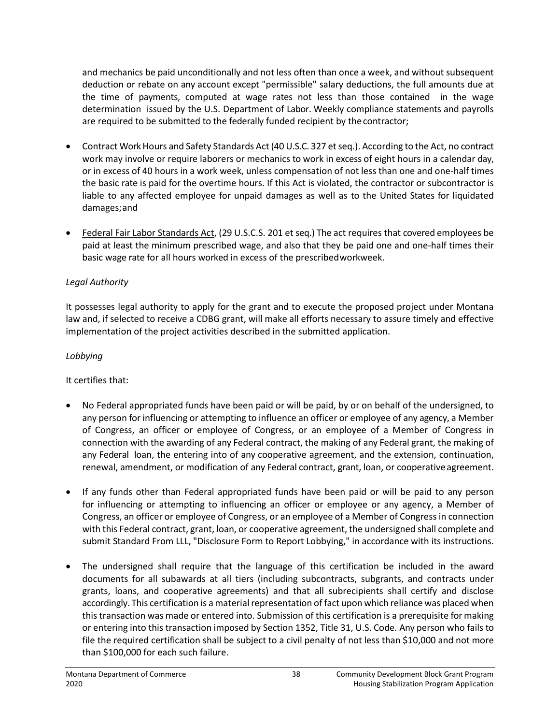and mechanics be paid unconditionally and not less often than once a week, and without subsequent deduction or rebate on any account except "permissible" salary deductions, the full amounts due at the time of payments, computed at wage rates not less than those contained in the wage determination issued by the U.S. Department of Labor. Weekly compliance statements and payrolls are required to be submitted to the federally funded recipient by thecontractor;

- Contract Work Hours and Safety Standards Act (40 U.S.C. 327 et seq.). According to the Act, no contract work may involve or require laborers or mechanics to work in excess of eight hours in a calendar day, or in excess of 40 hours in a work week, unless compensation of not less than one and one-half times the basic rate is paid for the overtime hours. If this Act is violated, the contractor or subcontractor is liable to any affected employee for unpaid damages as well as to the United States for liquidated damages;and
- Federal Fair Labor Standards Act, (29 U.S.C.S. 201 et seq.) The act requires that covered employees be paid at least the minimum prescribed wage, and also that they be paid one and one-half times their basic wage rate for all hours worked in excess of the prescribedworkweek.

### *Legal Authority*

It possesses legal authority to apply for the grant and to execute the proposed project under Montana law and, if selected to receive a CDBG grant, will make all efforts necessary to assure timely and effective implementation of the project activities described in the submitted application.

### *Lobbying*

It certifies that:

- No Federal appropriated funds have been paid or will be paid, by or on behalf of the undersigned, to any person for influencing or attempting to influence an officer or employee of any agency, a Member of Congress, an officer or employee of Congress, or an employee of a Member of Congress in connection with the awarding of any Federal contract, the making of any Federal grant, the making of any Federal loan, the entering into of any cooperative agreement, and the extension, continuation, renewal, amendment, or modification of any Federal contract, grant, loan, or cooperativeagreement.
- If any funds other than Federal appropriated funds have been paid or will be paid to any person for influencing or attempting to influencing an officer or employee or any agency, a Member of Congress, an officer or employee of Congress, or an employee of a Member of Congress in connection with this Federal contract, grant, loan, or cooperative agreement, the undersigned shall complete and submit Standard From LLL, "Disclosure Form to Report Lobbying," in accordance with its instructions.
- The undersigned shall require that the language of this certification be included in the award documents for all subawards at all tiers (including subcontracts, subgrants, and contracts under grants, loans, and cooperative agreements) and that all subrecipients shall certify and disclose accordingly. This certification is a material representation of fact upon which reliance was placed when this transaction was made or entered into. Submission of this certification is a prerequisite for making or entering into this transaction imposed by Section 1352, Title 31, U.S. Code. Any person who fails to file the required certification shall be subject to a civil penalty of not less than \$10,000 and not more than \$100,000 for each such failure.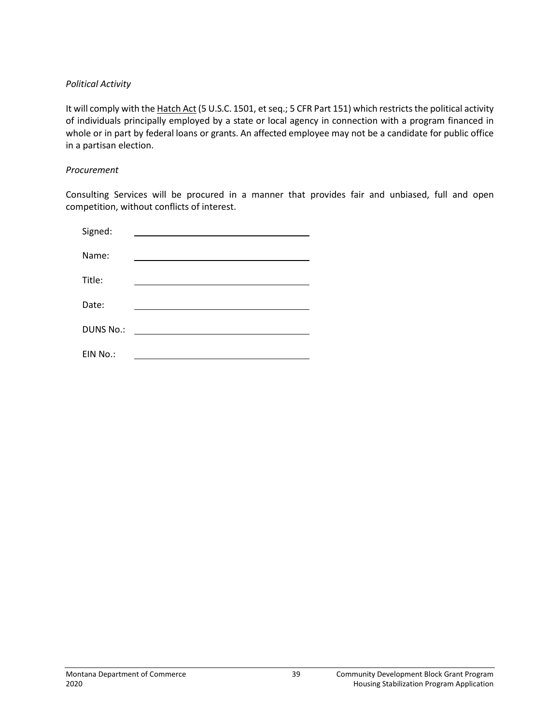#### *Political Activity*

It will comply with the Hatch Act (5 U.S.C. 1501, et seq.; 5 CFR Part 151) which restricts the political activity of individuals principally employed by a state or local agency in connection with a program financed in whole or in part by federal loans or grants. An affected employee may not be a candidate for public office in a partisan election.

#### *Procurement*

Consulting Services will be procured in a manner that provides fair and unbiased, full and open competition, without conflicts of interest.

| Signed:          |  |
|------------------|--|
| Name:            |  |
| Title:           |  |
| Date:            |  |
| <b>DUNS No.:</b> |  |
| EIN No.:         |  |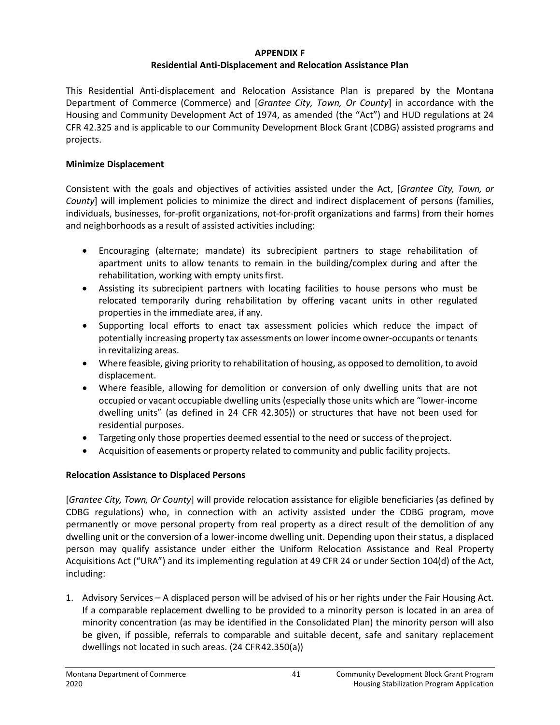#### **APPENDIX F**

#### **Residential Anti-Displacement and Relocation Assistance Plan**

This Residential Anti-displacement and Relocation Assistance Plan is prepared by the Montana Department of Commerce (Commerce) and [*Grantee City, Town, Or County*] in accordance with the Housing and Community Development Act of 1974, as amended (the "Act") and HUD regulations at 24 CFR 42.325 and is applicable to our Community Development Block Grant (CDBG) assisted programs and projects.

#### **Minimize Displacement**

Consistent with the goals and objectives of activities assisted under the Act, [*Grantee City, Town, or County*] will implement policies to minimize the direct and indirect displacement of persons (families, individuals, businesses, for-profit organizations, not-for-profit organizations and farms) from their homes and neighborhoods as a result of assisted activities including:

- Encouraging (alternate; mandate) its subrecipient partners to stage rehabilitation of apartment units to allow tenants to remain in the building/complex during and after the rehabilitation, working with empty units first.
- Assisting its subrecipient partners with locating facilities to house persons who must be relocated temporarily during rehabilitation by offering vacant units in other regulated properties in the immediate area, if any.
- Supporting local efforts to enact tax assessment policies which reduce the impact of potentially increasing property tax assessments on lowerincome owner-occupants or tenants in revitalizing areas.
- Where feasible, giving priority to rehabilitation of housing, as opposed to demolition, to avoid displacement.
- Where feasible, allowing for demolition or conversion of only dwelling units that are not occupied or vacant occupiable dwelling units (especially those units which are "lower-income dwelling units" (as defined in 24 CFR 42.305)) or structures that have not been used for residential purposes.
- Targeting only those properties deemed essential to the need or success of theproject.
- Acquisition of easements or property related to community and public facility projects.

### **Relocation Assistance to Displaced Persons**

[*Grantee City, Town, Or County*] will provide relocation assistance for eligible beneficiaries (as defined by CDBG regulations) who, in connection with an activity assisted under the CDBG program, move permanently or move personal property from real property as a direct result of the demolition of any dwelling unit or the conversion of a lower-income dwelling unit. Depending upon their status, a displaced person may qualify assistance under either the Uniform Relocation Assistance and Real Property Acquisitions Act ("URA") and its implementing regulation at 49 CFR 24 or under Section 104(d) of the Act, including:

1. Advisory Services – A displaced person will be advised of his or her rights under the Fair Housing Act. If a comparable replacement dwelling to be provided to a minority person is located in an area of minority concentration (as may be identified in the Consolidated Plan) the minority person will also be given, if possible, referrals to comparable and suitable decent, safe and sanitary replacement dwellings not located in such areas. (24 CFR42.350(a))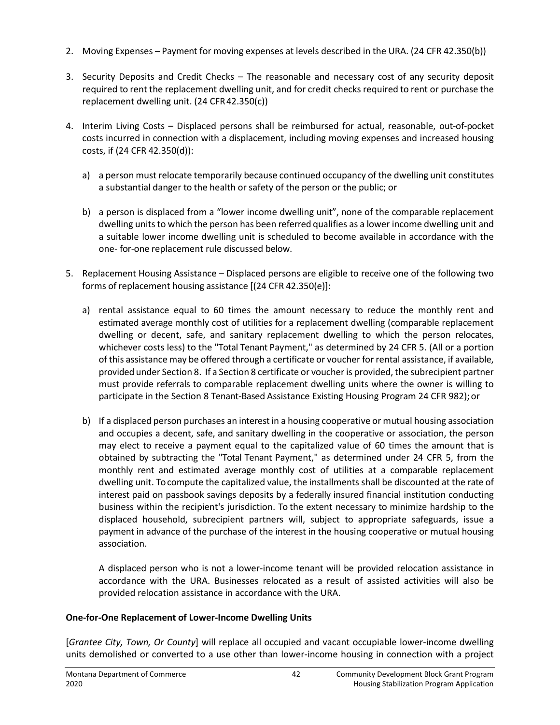- 2. Moving Expenses Payment for moving expenses at levels described in the URA. (24 CFR 42.350(b))
- 3. Security Deposits and Credit Checks The reasonable and necessary cost of any security deposit required to rent the replacement dwelling unit, and for credit checks required to rent or purchase the replacement dwelling unit. (24 CFR42.350(c))
- 4. Interim Living Costs Displaced persons shall be reimbursed for actual, reasonable, out-of-pocket costs incurred in connection with a displacement, including moving expenses and increased housing costs, if (24 CFR 42.350(d)):
	- a) a person must relocate temporarily because continued occupancy of the dwelling unit constitutes a substantial danger to the health orsafety of the person or the public; or
	- b) a person is displaced from a "lower income dwelling unit", none of the comparable replacement dwelling units to which the person has been referred qualifies as a lower income dwelling unit and a suitable lower income dwelling unit is scheduled to become available in accordance with the one- for-one replacement rule discussed below.
- 5. Replacement Housing Assistance Displaced persons are eligible to receive one of the following two forms of replacement housing assistance [(24 CFR 42.350(e)]:
	- a) rental assistance equal to 60 times the amount necessary to reduce the monthly rent and estimated average monthly cost of utilities for a replacement dwelling (comparable replacement dwelling or decent, safe, and sanitary replacement dwelling to which the person relocates, whichever costs less) to the "Total Tenant Payment," as determined by 24 CFR 5. (All or a portion of this assistance may be offered through a certificate or voucher for rental assistance, if available, provided under Section 8. If a Section 8 certificate or voucher is provided, the subrecipient partner must provide referrals to comparable replacement dwelling units where the owner is willing to participate in the Section 8 Tenant-Based Assistance Existing Housing Program 24 CFR 982); or
	- b) If a displaced person purchases an interest in a housing cooperative or mutual housing association and occupies a decent, safe, and sanitary dwelling in the cooperative or association, the person may elect to receive a payment equal to the capitalized value of 60 times the amount that is obtained by subtracting the "Total Tenant Payment," as determined under 24 CFR 5, from the monthly rent and estimated average monthly cost of utilities at a comparable replacement dwelling unit. To compute the capitalized value, the installments shall be discounted at the rate of interest paid on passbook savings deposits by a federally insured financial institution conducting business within the recipient's jurisdiction. To the extent necessary to minimize hardship to the displaced household, subrecipient partners will, subject to appropriate safeguards, issue a payment in advance of the purchase of the interest in the housing cooperative or mutual housing association.

A displaced person who is not a lower-income tenant will be provided relocation assistance in accordance with the URA. Businesses relocated as a result of assisted activities will also be provided relocation assistance in accordance with the URA.

### **One-for-One Replacement of Lower-Income Dwelling Units**

[*Grantee City, Town, Or County*] will replace all occupied and vacant occupiable lower-income dwelling units demolished or converted to a use other than lower-income housing in connection with a project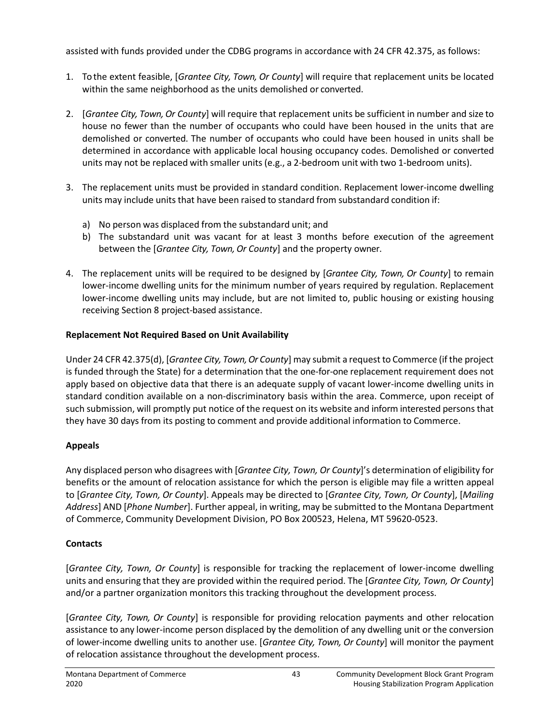assisted with funds provided under the CDBG programs in accordance with 24 CFR 42.375, as follows:

- 1. To the extent feasible, [*Grantee City, Town, Or County*] will require that replacement units be located within the same neighborhood as the units demolished or converted.
- 2. [*Grantee City, Town, Or County*] will require that replacement units be sufficient in number and size to house no fewer than the number of occupants who could have been housed in the units that are demolished or converted. The number of occupants who could have been housed in units shall be determined in accordance with applicable local housing occupancy codes. Demolished or converted units may not be replaced with smaller units (e.g., a 2-bedroom unit with two 1-bedroom units).
- 3. The replacement units must be provided in standard condition. Replacement lower-income dwelling units may include units that have been raised to standard from substandard condition if:
	- a) No person was displaced from the substandard unit; and
	- b) The substandard unit was vacant for at least 3 months before execution of the agreement between the [*Grantee City, Town, Or County*] and the property owner.
- 4. The replacement units will be required to be designed by [*Grantee City, Town, Or County*] to remain lower-income dwelling units for the minimum number of years required by regulation. Replacement lower-income dwelling units may include, but are not limited to, public housing or existing housing receiving Section 8 project-based assistance.

### **Replacement Not Required Based on Unit Availability**

Under 24 CFR 42.375(d), [*Grantee City, Town, Or County*] may submit a request to Commerce (if the project is funded through the State) for a determination that the one-for-one replacement requirement does not apply based on objective data that there is an adequate supply of vacant lower-income dwelling units in standard condition available on a non-discriminatory basis within the area. Commerce, upon receipt of such submission, will promptly put notice of the request on its website and inform interested persons that they have 30 days from its posting to comment and provide additional information to Commerce.

# **Appeals**

Any displaced person who disagrees with [*Grantee City, Town, Or County*]'s determination of eligibility for benefits or the amount of relocation assistance for which the person is eligible may file a written appeal to [*Grantee City, Town, Or County*]. Appeals may be directed to [*Grantee City, Town, Or County*], [*Mailing Address*] AND [*Phone Number*]. Further appeal, in writing, may be submitted to the Montana Department of Commerce, Community Development Division, PO Box 200523, Helena, MT 59620-0523.

# **Contacts**

[*Grantee City, Town, Or County*] is responsible for tracking the replacement of lower-income dwelling units and ensuring that they are provided within the required period. The [*Grantee City, Town, Or County*] and/or a partner organization monitors this tracking throughout the development process.

[*Grantee City, Town, Or County*] is responsible for providing relocation payments and other relocation assistance to any lower-income person displaced by the demolition of any dwelling unit or the conversion of lower-income dwelling units to another use. [*Grantee City, Town, Or County*] will monitor the payment of relocation assistance throughout the development process.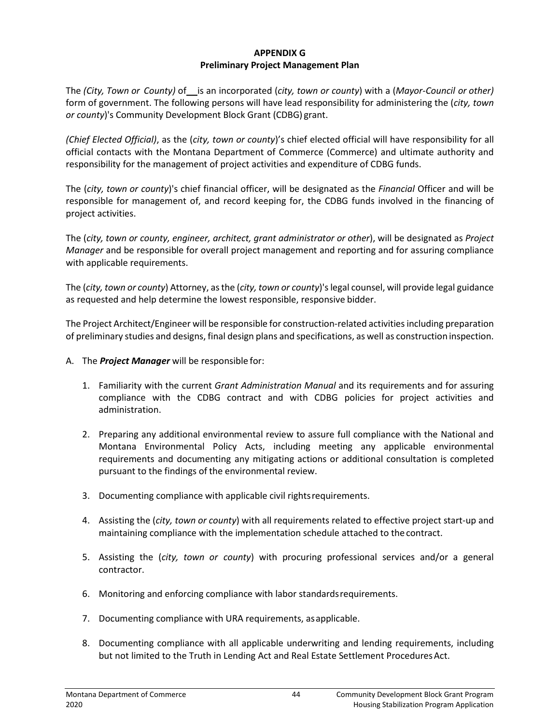#### **APPENDIX G Preliminary Project Management Plan**

The *(City, Town or County)* of is an incorporated *(city, town or county)* with a *(Mayor-Council or other)* form of government. The following persons will have lead responsibility for administering the (*city, town or county*)'s Community Development Block Grant (CDBG) grant.

*(Chief Elected Official)*, as the (*city, town or county*)'s chief elected official will have responsibility for all official contacts with the Montana Department of Commerce (Commerce) and ultimate authority and responsibility for the management of project activities and expenditure of CDBG funds.

The (*city, town or county*)'s chief financial officer, will be designated as the *Financial* Officer and will be responsible for management of, and record keeping for, the CDBG funds involved in the financing of project activities.

The (*city, town or county, engineer, architect, grant administrator or other*), will be designated as *Project Manager* and be responsible for overall project management and reporting and for assuring compliance with applicable requirements.

The (*city, town or county*) Attorney, as the (*city, town or county*)'s legal counsel, will provide legal guidance as requested and help determine the lowest responsible, responsive bidder.

The Project Architect/Engineer will be responsible for construction-related activities including preparation of preliminary studies and designs, final design plans and specifications, as well as construction inspection.

- A. The *Project Manager* will be responsible for:
	- 1. Familiarity with the current *Grant Administration Manual* and its requirements and for assuring compliance with the CDBG contract and with CDBG policies for project activities and administration.
	- 2. Preparing any additional environmental review to assure full compliance with the National and Montana Environmental Policy Acts, including meeting any applicable environmental requirements and documenting any mitigating actions or additional consultation is completed pursuant to the findings of the environmental review.
	- 3. Documenting compliance with applicable civil rightsrequirements.
	- 4. Assisting the (*city, town or county*) with all requirements related to effective project start-up and maintaining compliance with the implementation schedule attached to thecontract.
	- 5. Assisting the (*city, town or county*) with procuring professional services and/or a general contractor.
	- 6. Monitoring and enforcing compliance with labor standardsrequirements.
	- 7. Documenting compliance with URA requirements, asapplicable.
	- 8. Documenting compliance with all applicable underwriting and lending requirements, including but not limited to the Truth in Lending Act and Real Estate Settlement Procedures Act.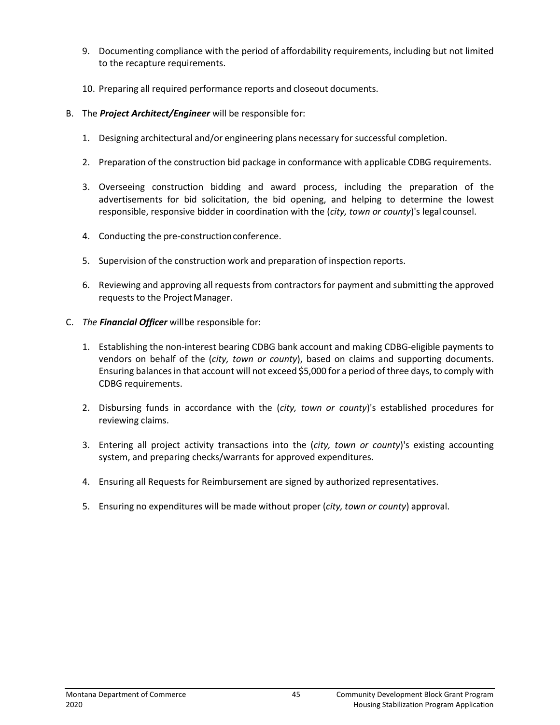- 9. Documenting compliance with the period of affordability requirements, including but not limited to the recapture requirements.
- 10. Preparing all required performance reports and closeout documents.
- B. The *Project Architect/Engineer* will be responsible for:
	- 1. Designing architectural and/or engineering plans necessary for successful completion.
	- 2. Preparation of the construction bid package in conformance with applicable CDBG requirements.
	- 3. Overseeing construction bidding and award process, including the preparation of the advertisements for bid solicitation, the bid opening, and helping to determine the lowest responsible, responsive bidder in coordination with the (*city, town or county*)'s legal counsel.
	- 4. Conducting the pre-constructionconference.
	- 5. Supervision of the construction work and preparation of inspection reports.
	- 6. Reviewing and approving all requests from contractors for payment and submitting the approved requests to the Project Manager.
- C. *The Financial Officer* willbe responsible for:
	- 1. Establishing the non-interest bearing CDBG bank account and making CDBG-eligible payments to vendors on behalf of the (*city, town or county*), based on claims and supporting documents. Ensuring balances in that account will not exceed \$5,000 for a period of three days,to comply with CDBG requirements.
	- 2. Disbursing funds in accordance with the (*city, town or county*)'s established procedures for reviewing claims.
	- 3. Entering all project activity transactions into the (*city, town or county*)'s existing accounting system, and preparing checks/warrants for approved expenditures.
	- 4. Ensuring all Requests for Reimbursement are signed by authorized representatives.
	- 5. Ensuring no expenditures will be made without proper (*city, town or county*) approval.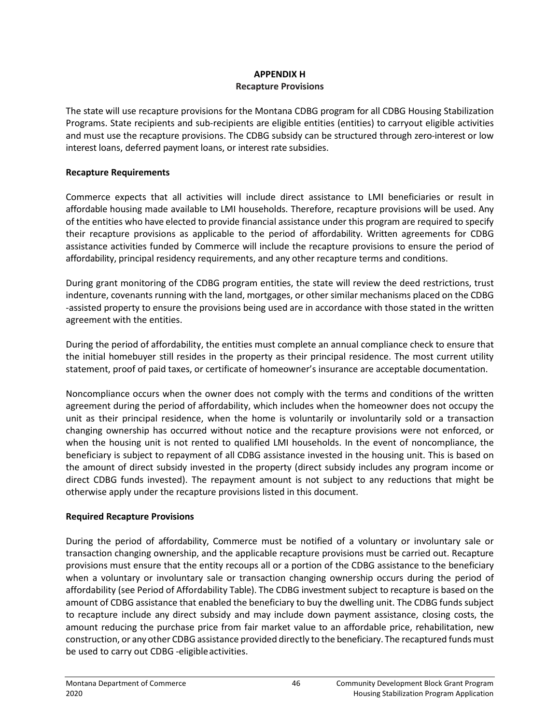#### **APPENDIX H Recapture Provisions**

The state will use recapture provisions for the Montana CDBG program for all CDBG Housing Stabilization Programs. State recipients and sub-recipients are eligible entities (entities) to carryout eligible activities and must use the recapture provisions. The CDBG subsidy can be structured through zero-interest or low interest loans, deferred payment loans, or interest rate subsidies.

#### **Recapture Requirements**

Commerce expects that all activities will include direct assistance to LMI beneficiaries or result in affordable housing made available to LMI households. Therefore, recapture provisions will be used. Any of the entities who have elected to provide financial assistance under this program are required to specify their recapture provisions as applicable to the period of affordability. Written agreements for CDBG assistance activities funded by Commerce will include the recapture provisions to ensure the period of affordability, principal residency requirements, and any other recapture terms and conditions.

During grant monitoring of the CDBG program entities, the state will review the deed restrictions, trust indenture, covenants running with the land, mortgages, or other similar mechanisms placed on the CDBG -assisted property to ensure the provisions being used are in accordance with those stated in the written agreement with the entities.

During the period of affordability, the entities must complete an annual compliance check to ensure that the initial homebuyer still resides in the property as their principal residence. The most current utility statement, proof of paid taxes, or certificate of homeowner's insurance are acceptable documentation.

Noncompliance occurs when the owner does not comply with the terms and conditions of the written agreement during the period of affordability, which includes when the homeowner does not occupy the unit as their principal residence, when the home is voluntarily or involuntarily sold or a transaction changing ownership has occurred without notice and the recapture provisions were not enforced, or when the housing unit is not rented to qualified LMI households. In the event of noncompliance, the beneficiary is subject to repayment of all CDBG assistance invested in the housing unit. This is based on the amount of direct subsidy invested in the property (direct subsidy includes any program income or direct CDBG funds invested). The repayment amount is not subject to any reductions that might be otherwise apply under the recapture provisions listed in this document.

### **Required Recapture Provisions**

During the period of affordability, Commerce must be notified of a voluntary or involuntary sale or transaction changing ownership, and the applicable recapture provisions must be carried out. Recapture provisions must ensure that the entity recoups all or a portion of the CDBG assistance to the beneficiary when a voluntary or involuntary sale or transaction changing ownership occurs during the period of affordability (see Period of Affordability Table). The CDBG investment subject to recapture is based on the amount of CDBG assistance that enabled the beneficiary to buy the dwelling unit. The CDBG funds subject to recapture include any direct subsidy and may include down payment assistance, closing costs, the amount reducing the purchase price from fair market value to an affordable price, rehabilitation, new construction, or any other CDBG assistance provided directly to the beneficiary. The recaptured funds must be used to carry out CDBG -eligibleactivities.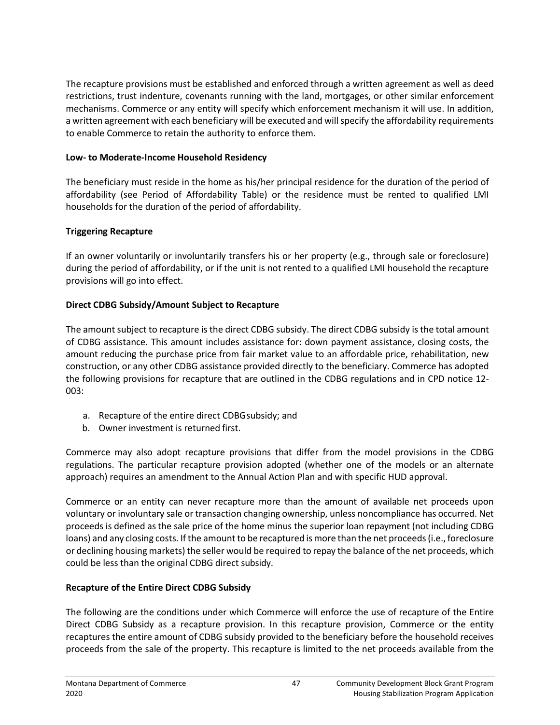The recapture provisions must be established and enforced through a written agreement as well as deed restrictions, trust indenture, covenants running with the land, mortgages, or other similar enforcement mechanisms. Commerce or any entity will specify which enforcement mechanism it will use. In addition, a written agreement with each beneficiary will be executed and will specify the affordability requirements to enable Commerce to retain the authority to enforce them.

#### **Low- to Moderate-Income Household Residency**

The beneficiary must reside in the home as his/her principal residence for the duration of the period of affordability (see Period of Affordability Table) or the residence must be rented to qualified LMI households for the duration of the period of affordability.

### **Triggering Recapture**

If an owner voluntarily or involuntarily transfers his or her property (e.g., through sale or foreclosure) during the period of affordability, or if the unit is not rented to a qualified LMI household the recapture provisions will go into effect.

### **Direct CDBG Subsidy/Amount Subject to Recapture**

The amount subject to recapture is the direct CDBG subsidy. The direct CDBG subsidy is the total amount of CDBG assistance. This amount includes assistance for: down payment assistance, closing costs, the amount reducing the purchase price from fair market value to an affordable price, rehabilitation, new construction, or any other CDBG assistance provided directly to the beneficiary. Commerce has adopted the following provisions for recapture that are outlined in the CDBG regulations and in CPD notice 12- 003:

- a. Recapture of the entire direct CDBGsubsidy; and
- b. Owner investment is returned first.

Commerce may also adopt recapture provisions that differ from the model provisions in the CDBG regulations. The particular recapture provision adopted (whether one of the models or an alternate approach) requires an amendment to the Annual Action Plan and with specific HUD approval.

Commerce or an entity can never recapture more than the amount of available net proceeds upon voluntary or involuntary sale or transaction changing ownership, unless noncompliance has occurred. Net proceeds is defined asthe sale price of the home minus the superior loan repayment (not including CDBG loans) and any closing costs. If the amount to be recaptured is more than the net proceeds (i.e., foreclosure or declining housing markets) the seller would be required to repay the balance ofthe net proceeds, which could be less than the original CDBG direct subsidy.

### **Recapture of the Entire Direct CDBG Subsidy**

The following are the conditions under which Commerce will enforce the use of recapture of the Entire Direct CDBG Subsidy as a recapture provision. In this recapture provision, Commerce or the entity recaptures the entire amount of CDBG subsidy provided to the beneficiary before the household receives proceeds from the sale of the property. This recapture is limited to the net proceeds available from the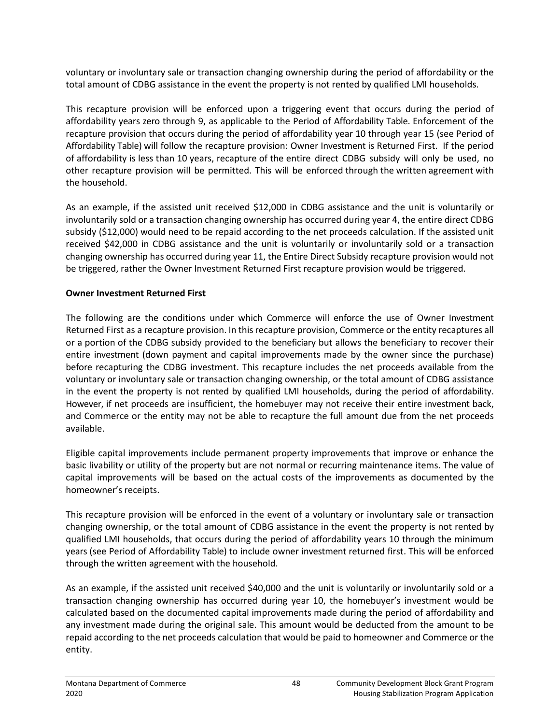voluntary or involuntary sale or transaction changing ownership during the period of affordability or the total amount of CDBG assistance in the event the property is not rented by qualified LMI households.

This recapture provision will be enforced upon a triggering event that occurs during the period of affordability years zero through 9, as applicable to the Period of Affordability Table. Enforcement of the recapture provision that occurs during the period of affordability year 10 through year 15 (see Period of Affordability Table) will follow the recapture provision: Owner Investment is Returned First. If the period of affordability is less than 10 years, recapture of the entire direct CDBG subsidy will only be used, no other recapture provision will be permitted. This will be enforced through the written agreement with the household.

As an example, if the assisted unit received \$12,000 in CDBG assistance and the unit is voluntarily or involuntarily sold or a transaction changing ownership has occurred during year 4, the entire direct CDBG subsidy (\$12,000) would need to be repaid according to the net proceeds calculation. If the assisted unit received \$42,000 in CDBG assistance and the unit is voluntarily or involuntarily sold or a transaction changing ownership has occurred during year 11, the Entire Direct Subsidy recapture provision would not be triggered, rather the Owner Investment Returned First recapture provision would be triggered.

#### **Owner Investment Returned First**

The following are the conditions under which Commerce will enforce the use of Owner Investment Returned First as a recapture provision. In thisrecapture provision, Commerce or the entity recaptures all or a portion of the CDBG subsidy provided to the beneficiary but allows the beneficiary to recover their entire investment (down payment and capital improvements made by the owner since the purchase) before recapturing the CDBG investment. This recapture includes the net proceeds available from the voluntary or involuntary sale or transaction changing ownership, or the total amount of CDBG assistance in the event the property is not rented by qualified LMI households, during the period of affordability. However, if net proceeds are insufficient, the homebuyer may not receive their entire investment back, and Commerce or the entity may not be able to recapture the full amount due from the net proceeds available.

Eligible capital improvements include permanent property improvements that improve or enhance the basic livability or utility of the property but are not normal or recurring maintenance items. The value of capital improvements will be based on the actual costs of the improvements as documented by the homeowner's receipts.

This recapture provision will be enforced in the event of a voluntary or involuntary sale or transaction changing ownership, or the total amount of CDBG assistance in the event the property is not rented by qualified LMI households, that occurs during the period of affordability years 10 through the minimum years (see Period of Affordability Table) to include owner investment returned first. This will be enforced through the written agreement with the household.

As an example, if the assisted unit received \$40,000 and the unit is voluntarily or involuntarily sold or a transaction changing ownership has occurred during year 10, the homebuyer's investment would be calculated based on the documented capital improvements made during the period of affordability and any investment made during the original sale. This amount would be deducted from the amount to be repaid according to the net proceeds calculation that would be paid to homeowner and Commerce or the entity.